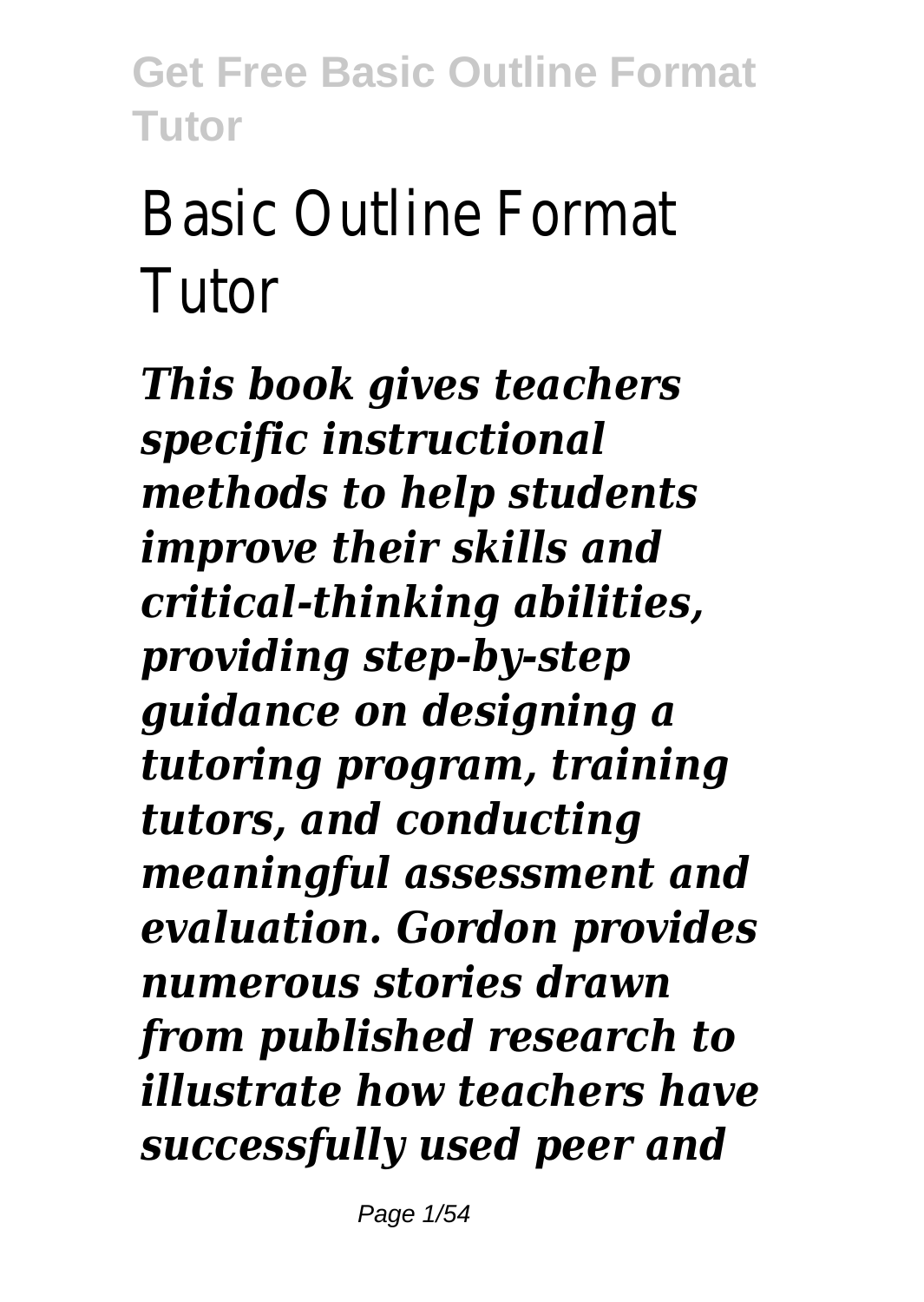# Basic Outline Format Tutor

*This book gives teachers specific instructional methods to help students improve their skills and critical-thinking abilities, providing step-by-step guidance on designing a tutoring program, training tutors, and conducting meaningful assessment and evaluation. Gordon provides numerous stories drawn from published research to illustrate how teachers have successfully used peer and*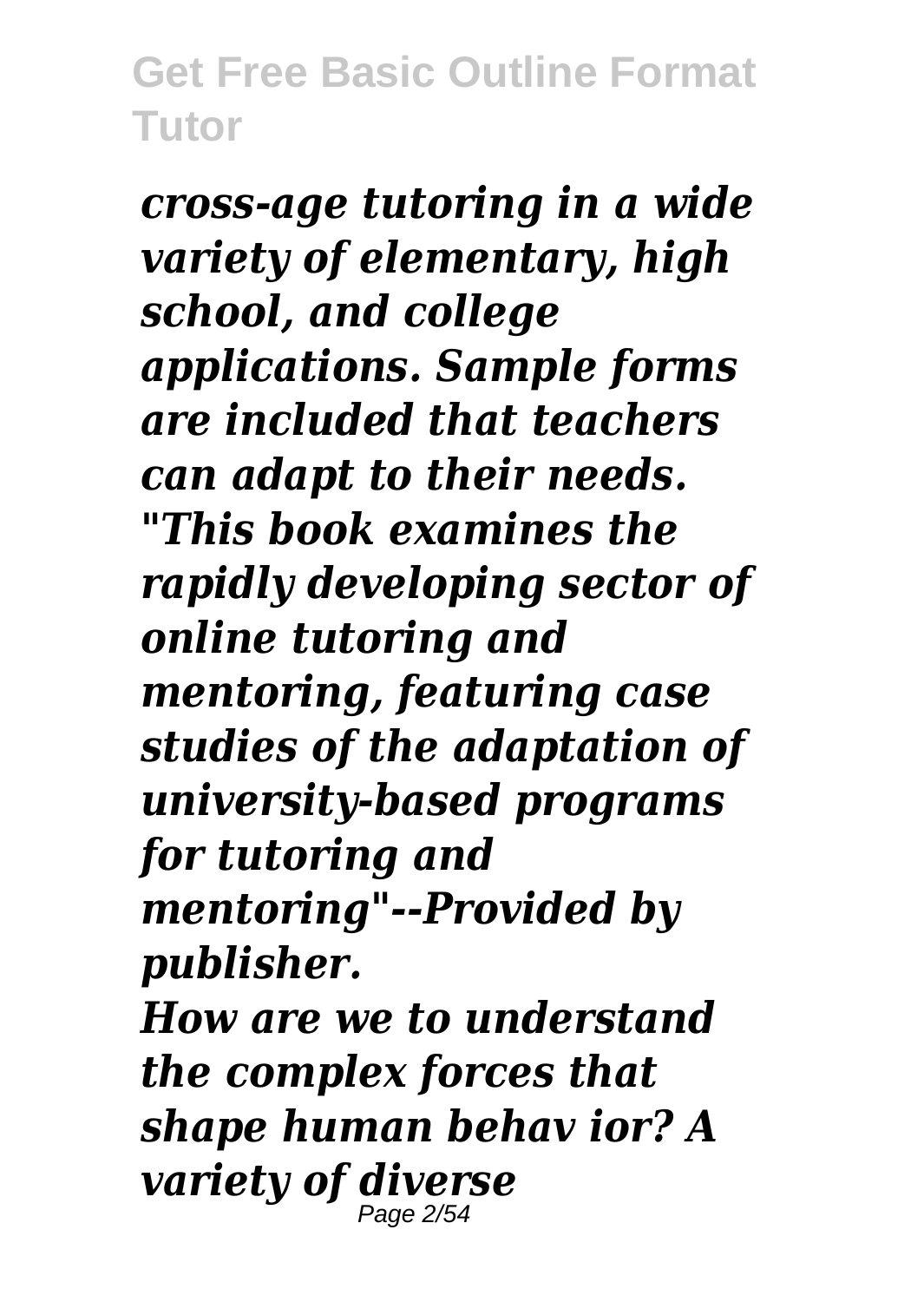*cross-age tutoring in a wide variety of elementary, high school, and college applications. Sample forms are included that teachers can adapt to their needs. "This book examines the rapidly developing sector of online tutoring and mentoring, featuring case studies of the adaptation of university-based programs for tutoring and mentoring"--Provided by publisher. How are we to understand the complex forces that shape human behav ior? A variety of diverse* Page 2/54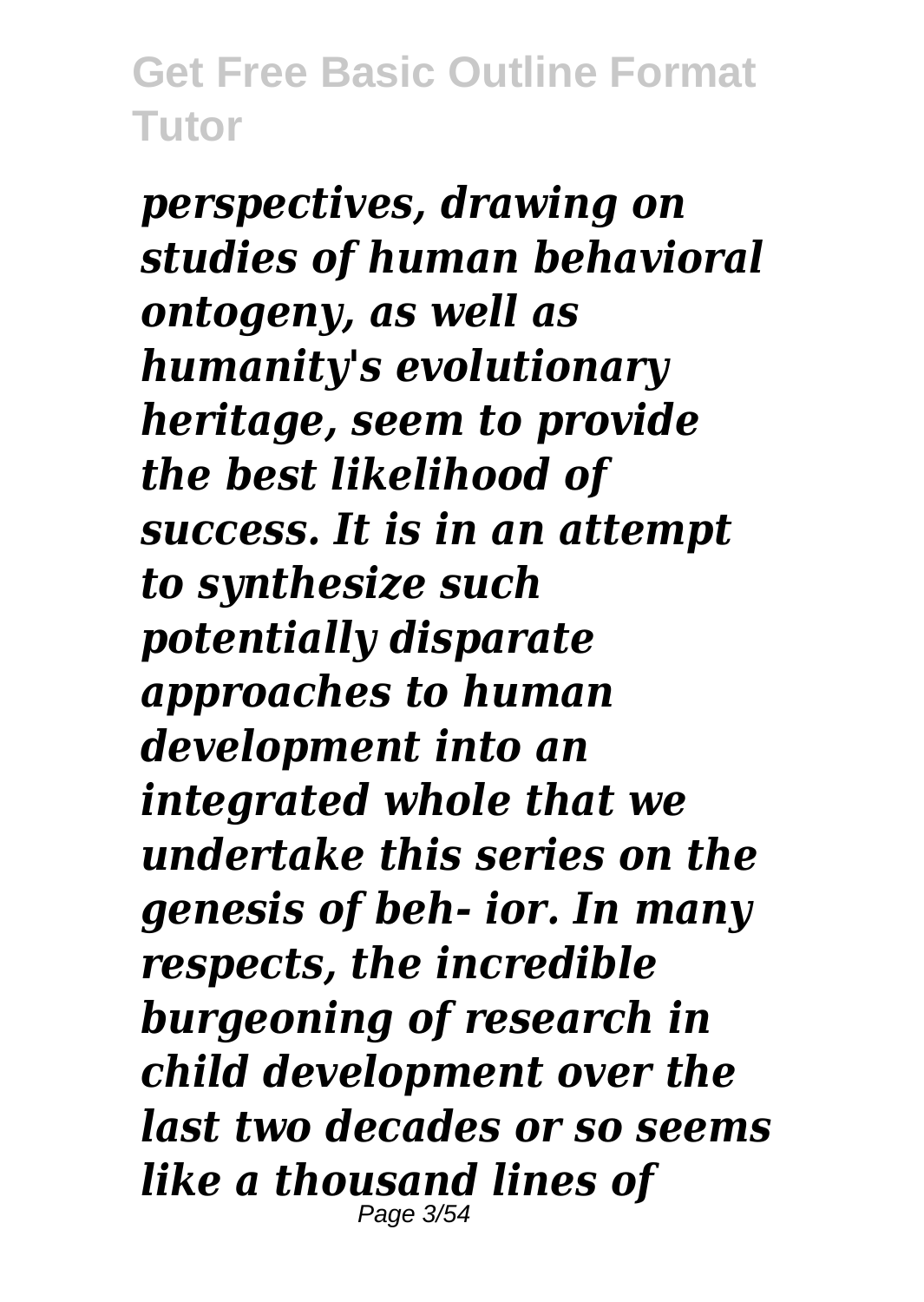*perspectives, drawing on studies of human behavioral ontogeny, as well as humanity's evolutionary heritage, seem to provide the best likelihood of success. It is in an attempt to synthesize such potentially disparate approaches to human development into an integrated whole that we undertake this series on the genesis of beh- ior. In many respects, the incredible burgeoning of research in child development over the last two decades or so seems like a thousand lines of* Page 3/54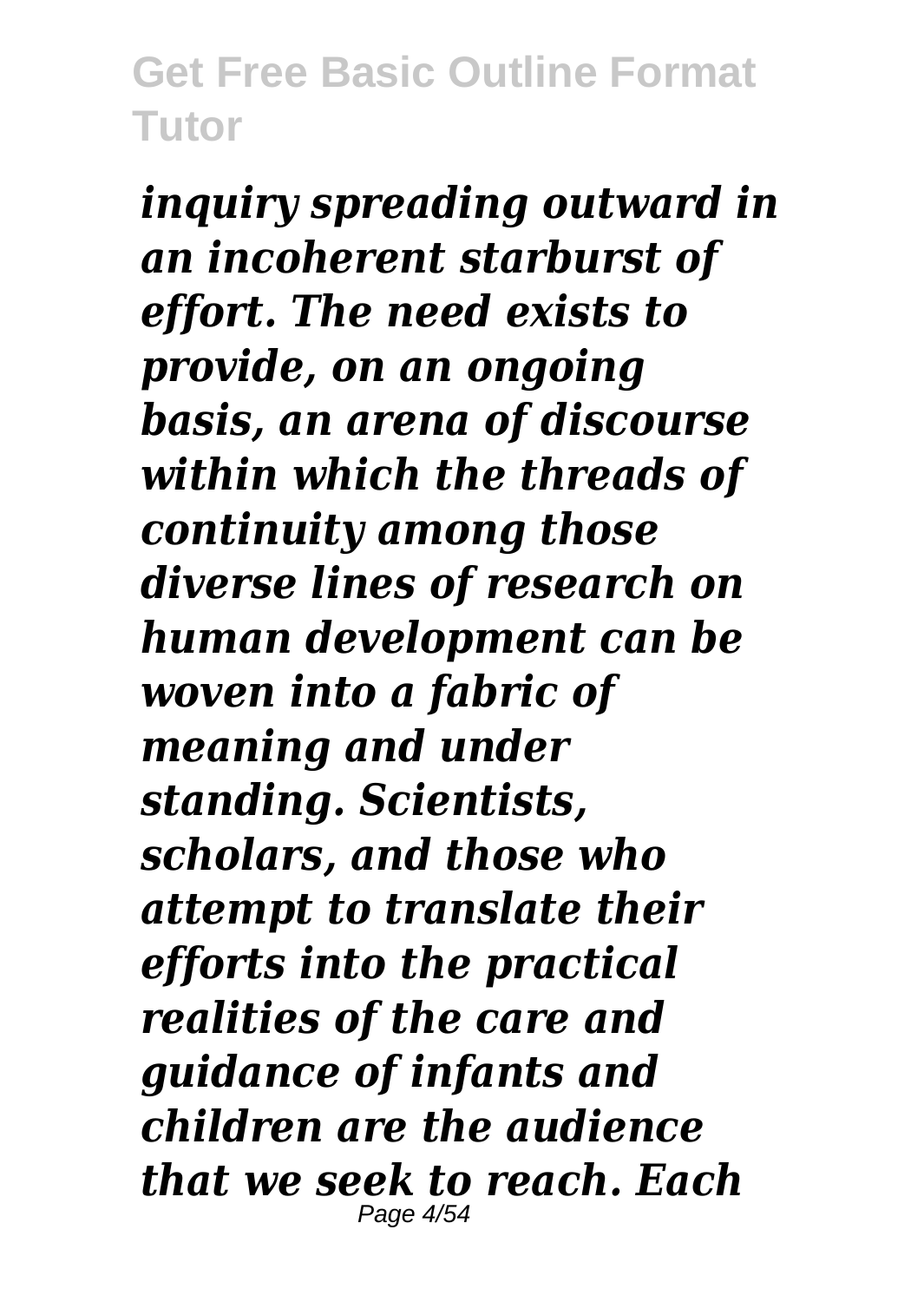*inquiry spreading outward in an incoherent starburst of effort. The need exists to provide, on an ongoing basis, an arena of discourse within which the threads of continuity among those diverse lines of research on human development can be woven into a fabric of meaning and under standing. Scientists, scholars, and those who attempt to translate their efforts into the practical realities of the care and guidance of infants and children are the audience that we seek to reach. Each* Page 4/54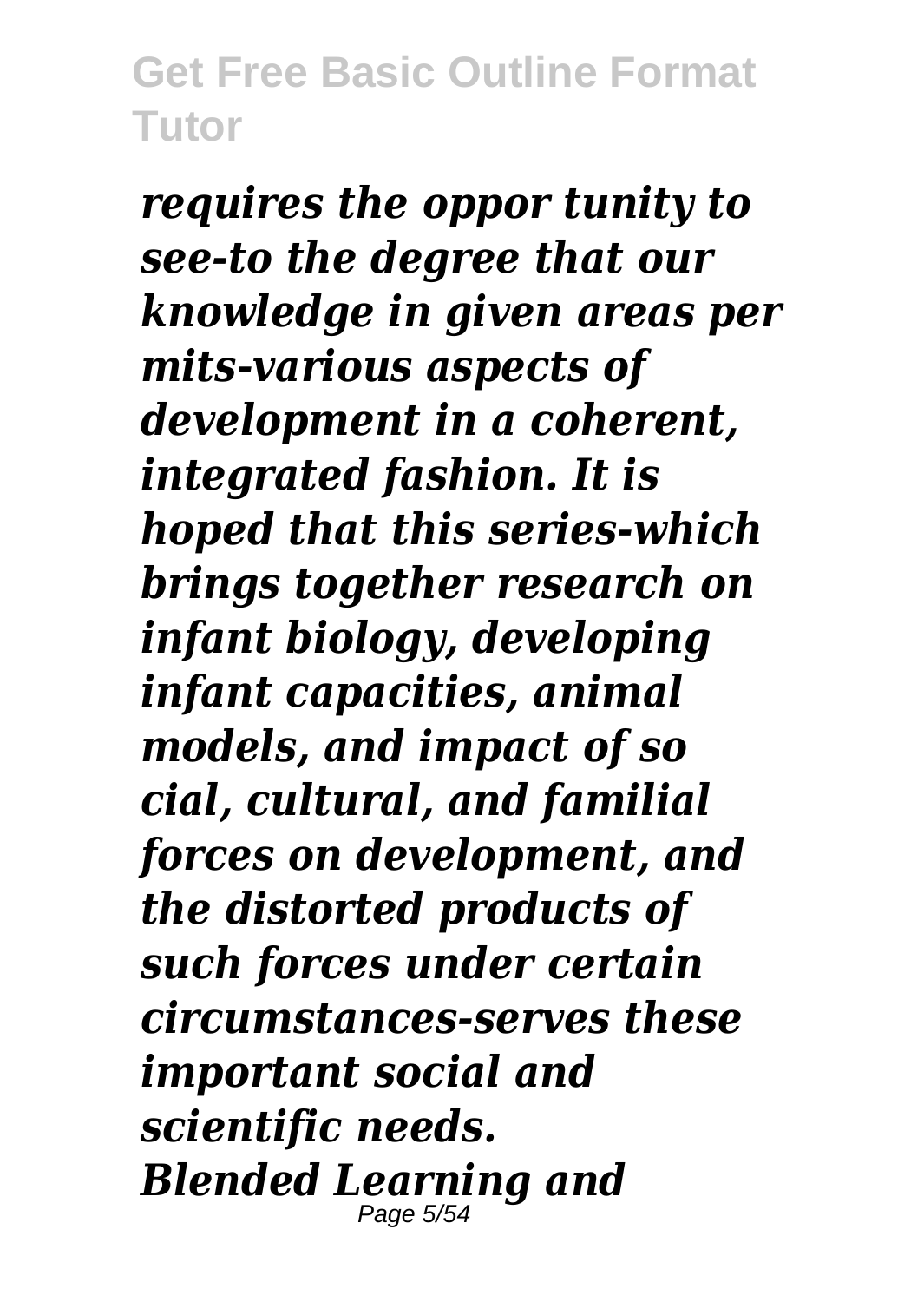*requires the oppor tunity to see-to the degree that our knowledge in given areas per mits-various aspects of development in a coherent, integrated fashion. It is hoped that this series-which brings together research on infant biology, developing infant capacities, animal models, and impact of so cial, cultural, and familial forces on development, and the distorted products of such forces under certain circumstances-serves these important social and scientific needs. Blended Learning and* Page 5/54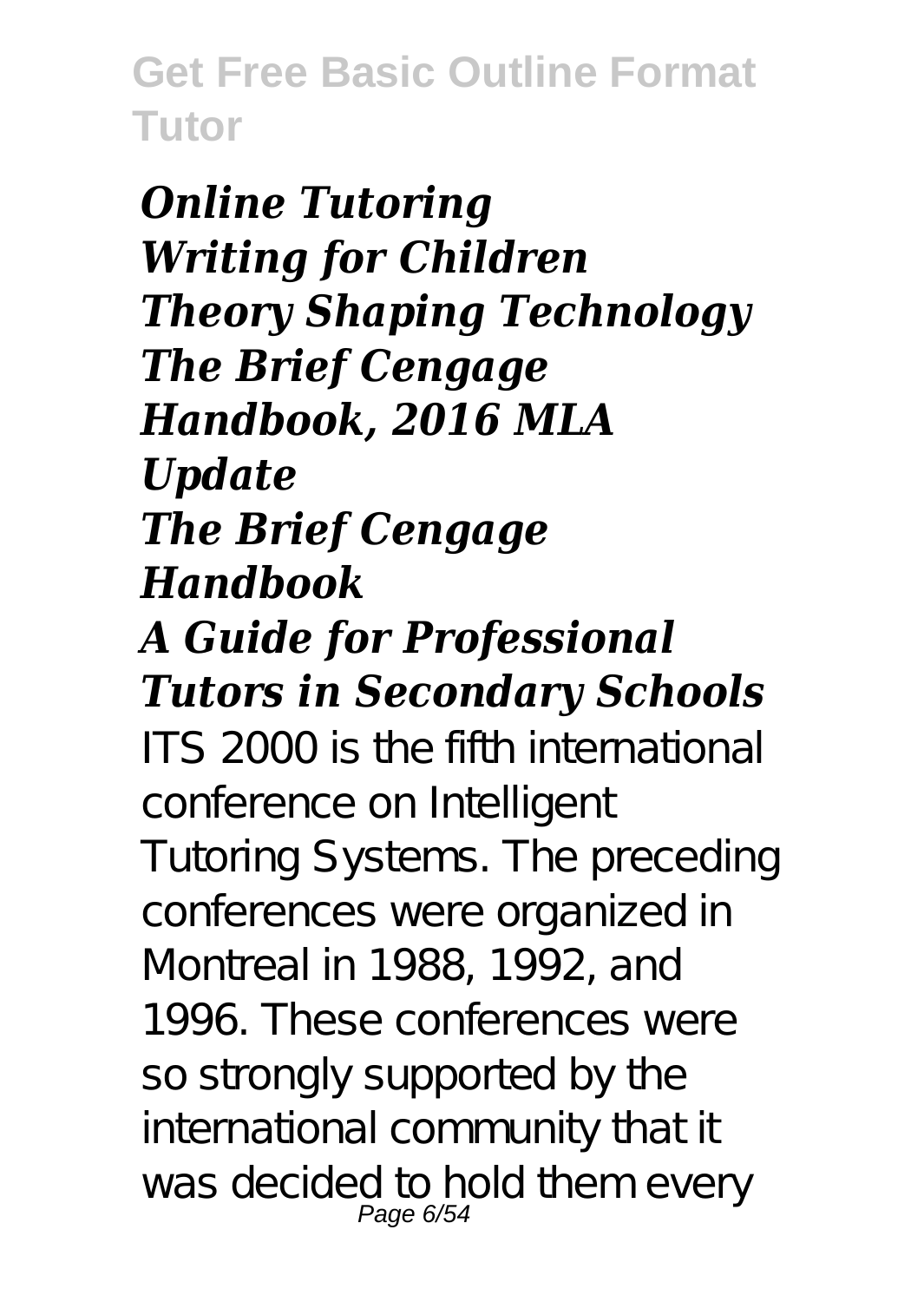*Online Tutoring Writing for Children Theory Shaping Technology The Brief Cengage Handbook, 2016 MLA Update The Brief Cengage Handbook A Guide for Professional Tutors in Secondary Schools* ITS 2000 is the fifth international conference on Intelligent Tutoring Systems. The preceding conferences were organized in Montreal in 1988, 1992, and 1996. These conferences were so strongly supported by the international community that it was decided to hold them every Page 6/54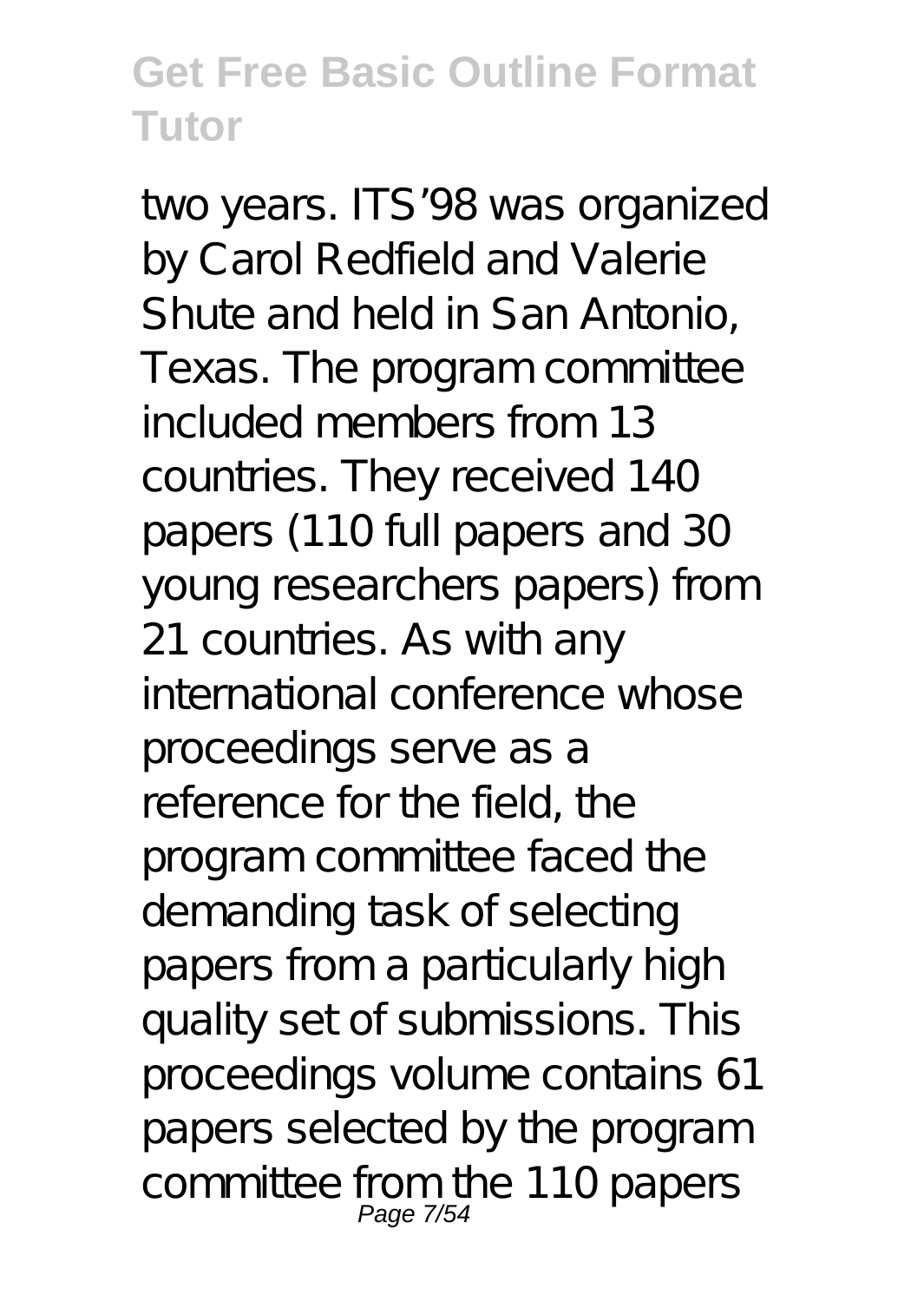two years. ITS'98 was organized by Carol Redfield and Valerie Shute and held in San Antonio, Texas. The program committee included members from 13 countries. They received 140 papers (110 full papers and 30 young researchers papers) from 21 countries. As with any international conference whose proceedings serve as a reference for the field, the program committee faced the demanding task of selecting papers from a particularly high quality set of submissions. This proceedings volume contains 61 papers selected by the program committee from the 110 papers Page 7/54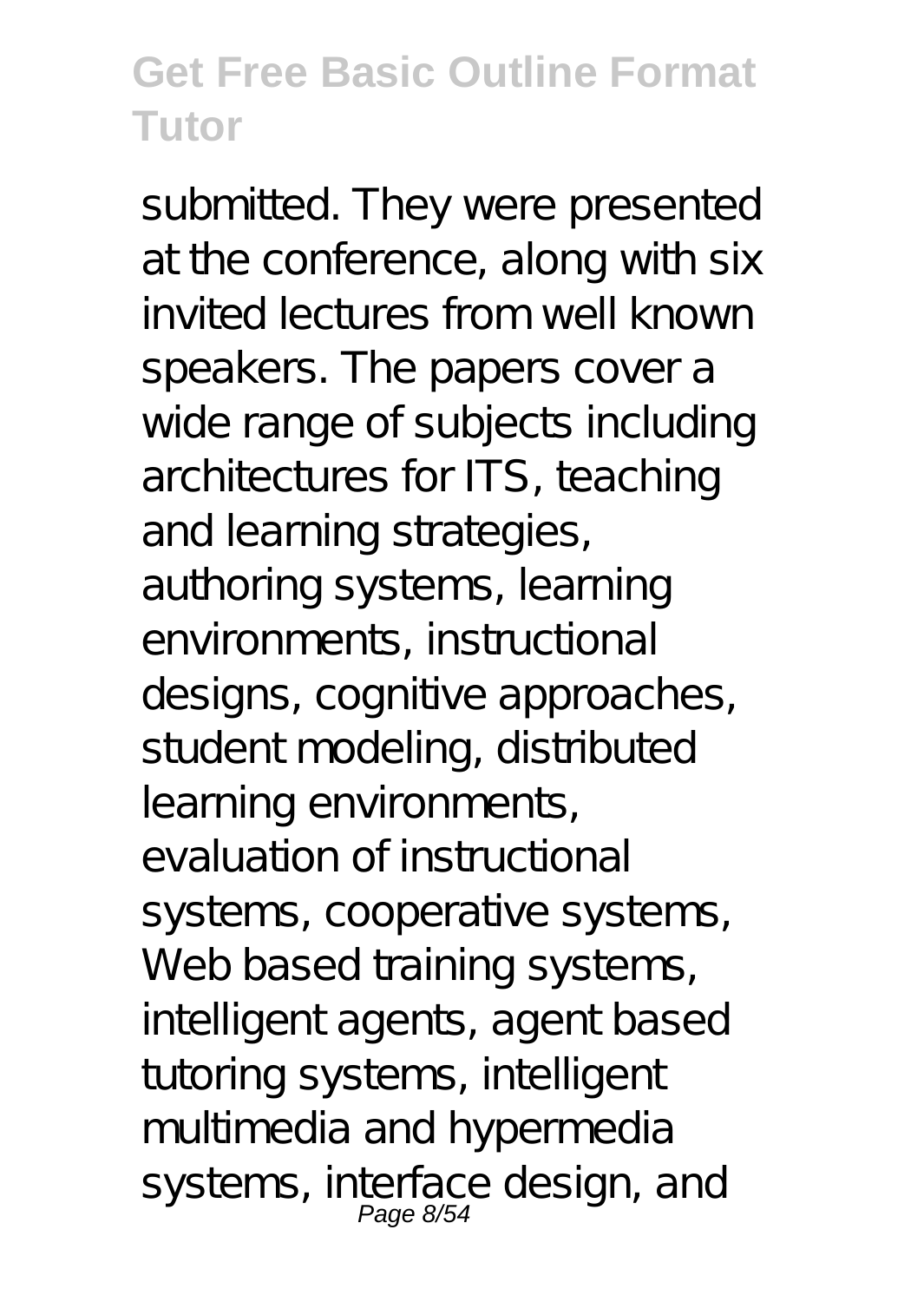submitted. They were presented at the conference, along with six invited lectures from well known speakers. The papers cover a wide range of subjects including architectures for ITS, teaching and learning strategies, authoring systems, learning environments, instructional designs, cognitive approaches, student modeling, distributed learning environments, evaluation of instructional systems, cooperative systems, Web based training systems, intelligent agents, agent based tutoring systems, intelligent multimedia and hypermedia systems, interface design, and Page 8/54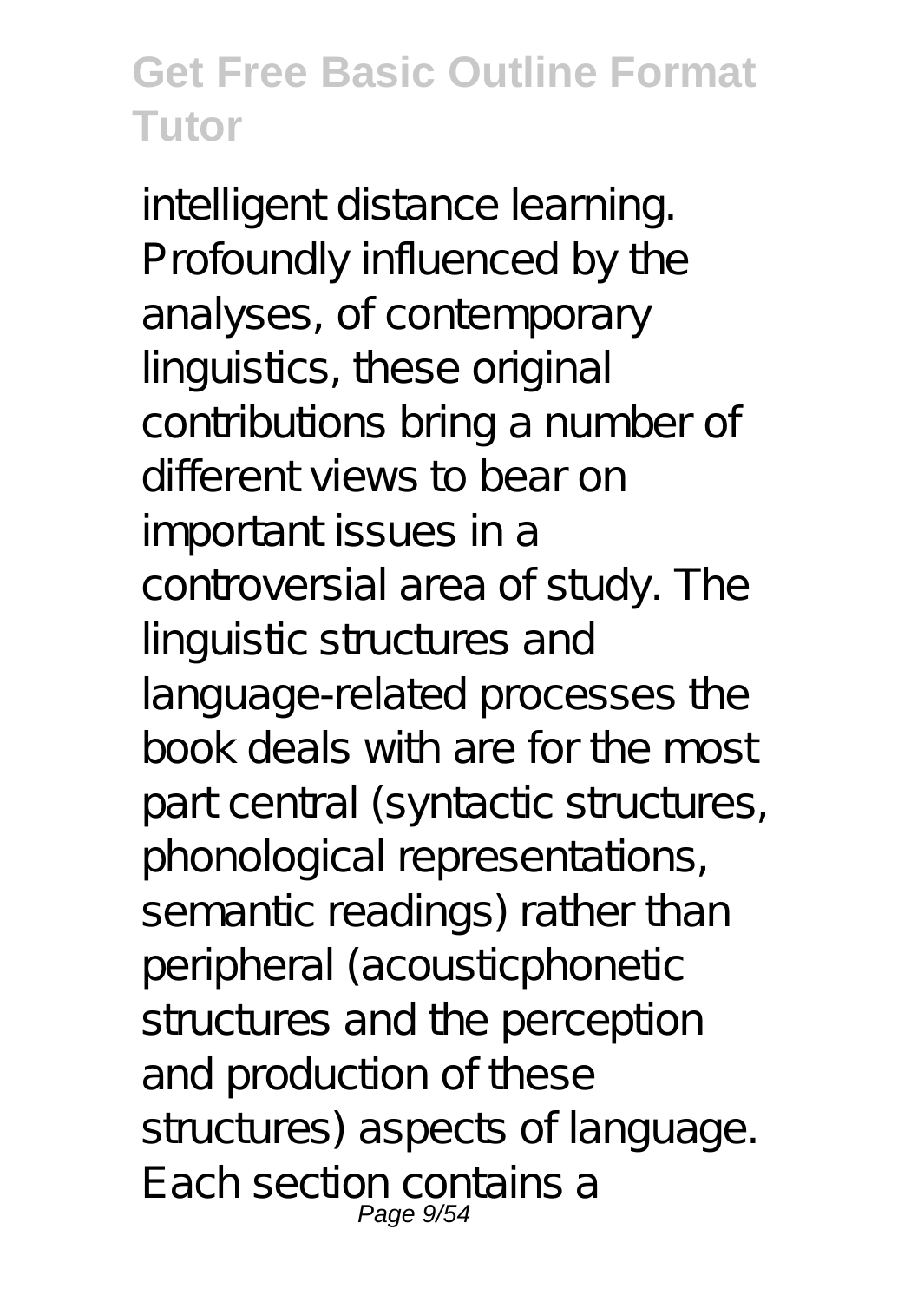intelligent distance learning. Profoundly influenced by the analyses, of contemporary linguistics, these original contributions bring a number of different views to bear on important issues in a controversial area of study. The linguistic structures and language-related processes the book deals with are for the most part central (syntactic structures, phonological representations, semantic readings) rather than peripheral (acousticphonetic structures and the perception and production of these structures) aspects of language. Each section contains a Page 9/54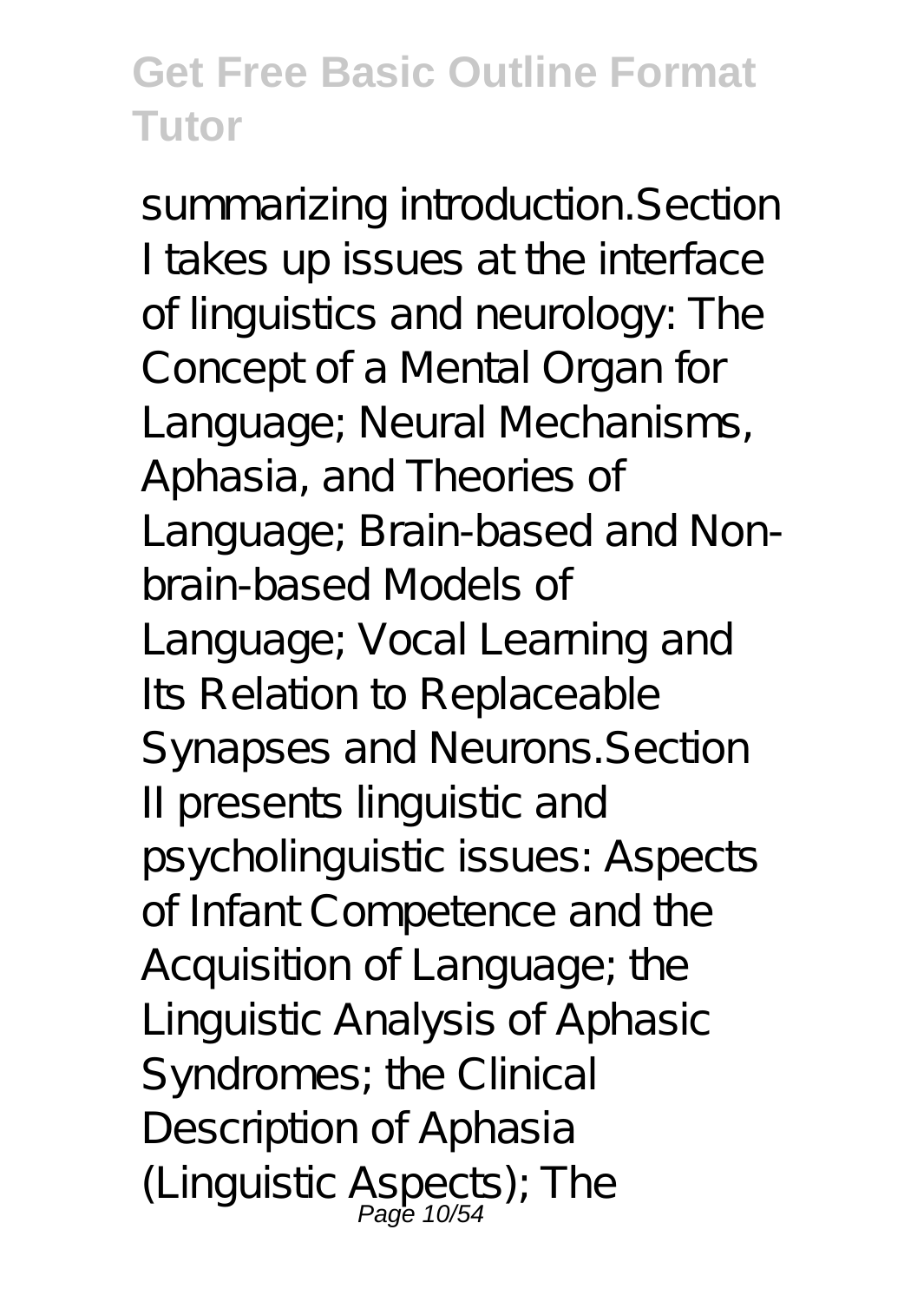summarizing introduction.Section I takes up issues at the interface of linguistics and neurology: The Concept of a Mental Organ for Language; Neural Mechanisms, Aphasia, and Theories of Language; Brain-based and Nonbrain-based Models of Language; Vocal Learning and Its Relation to Replaceable Synapses and Neurons.Section II presents linguistic and psycholinguistic issues: Aspects of Infant Competence and the Acquisition of Language; the Linguistic Analysis of Aphasic Syndromes; the Clinical Description of Aphasia (Linguistic Aspects); The<br>Page 10/54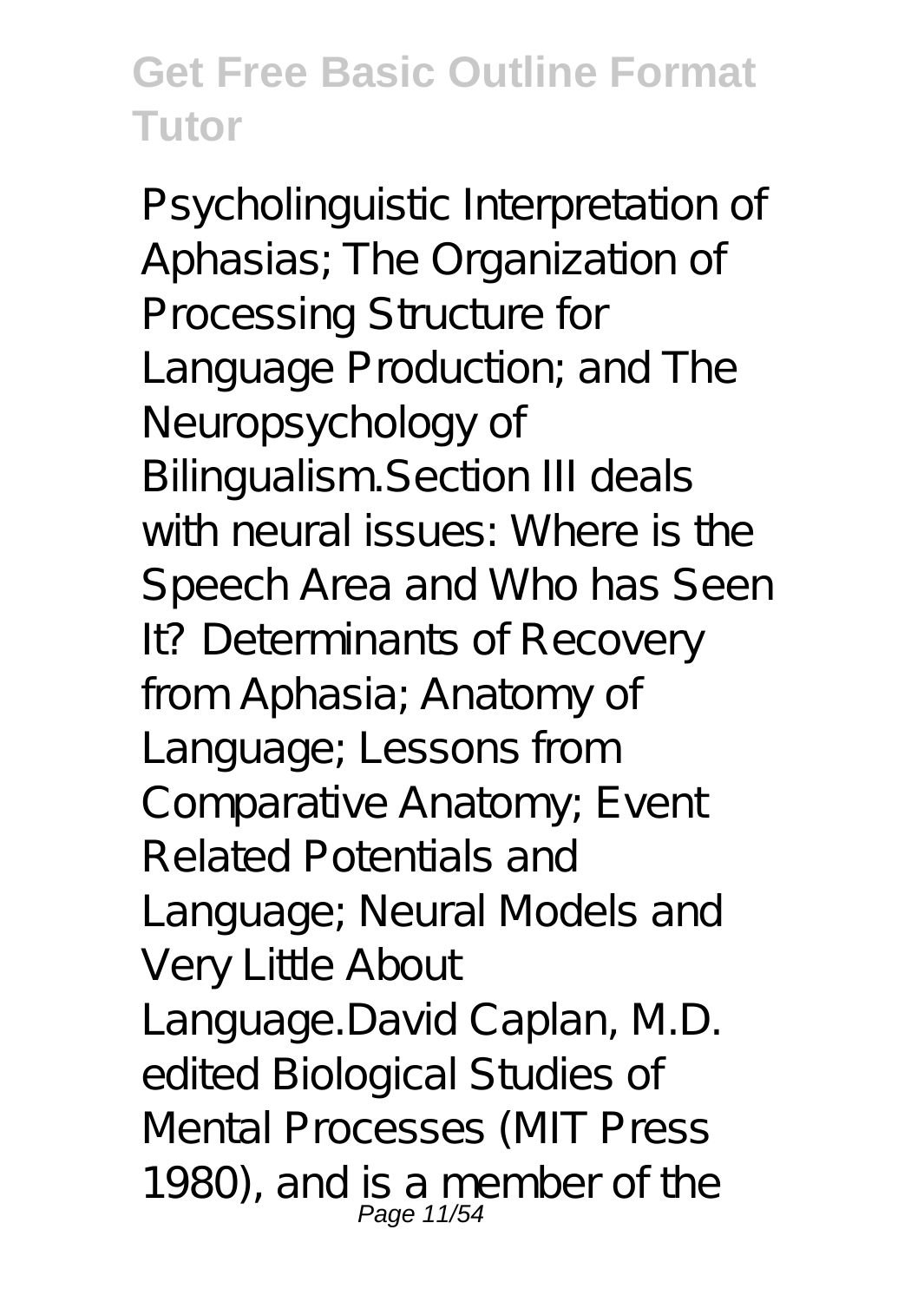Psycholinguistic Interpretation of Aphasias; The Organization of Processing Structure for Language Production; and The Neuropsychology of Bilingualism.Section III deals with neural issues: Where is the Speech Area and Who has Seen It? Determinants of Recovery from Aphasia; Anatomy of Language; Lessons from Comparative Anatomy; Event Related Potentials and Language; Neural Models and Very Little About Language.David Caplan, M.D. edited Biological Studies of Mental Processes (MIT Press 1980), and is a member of the Page 11/54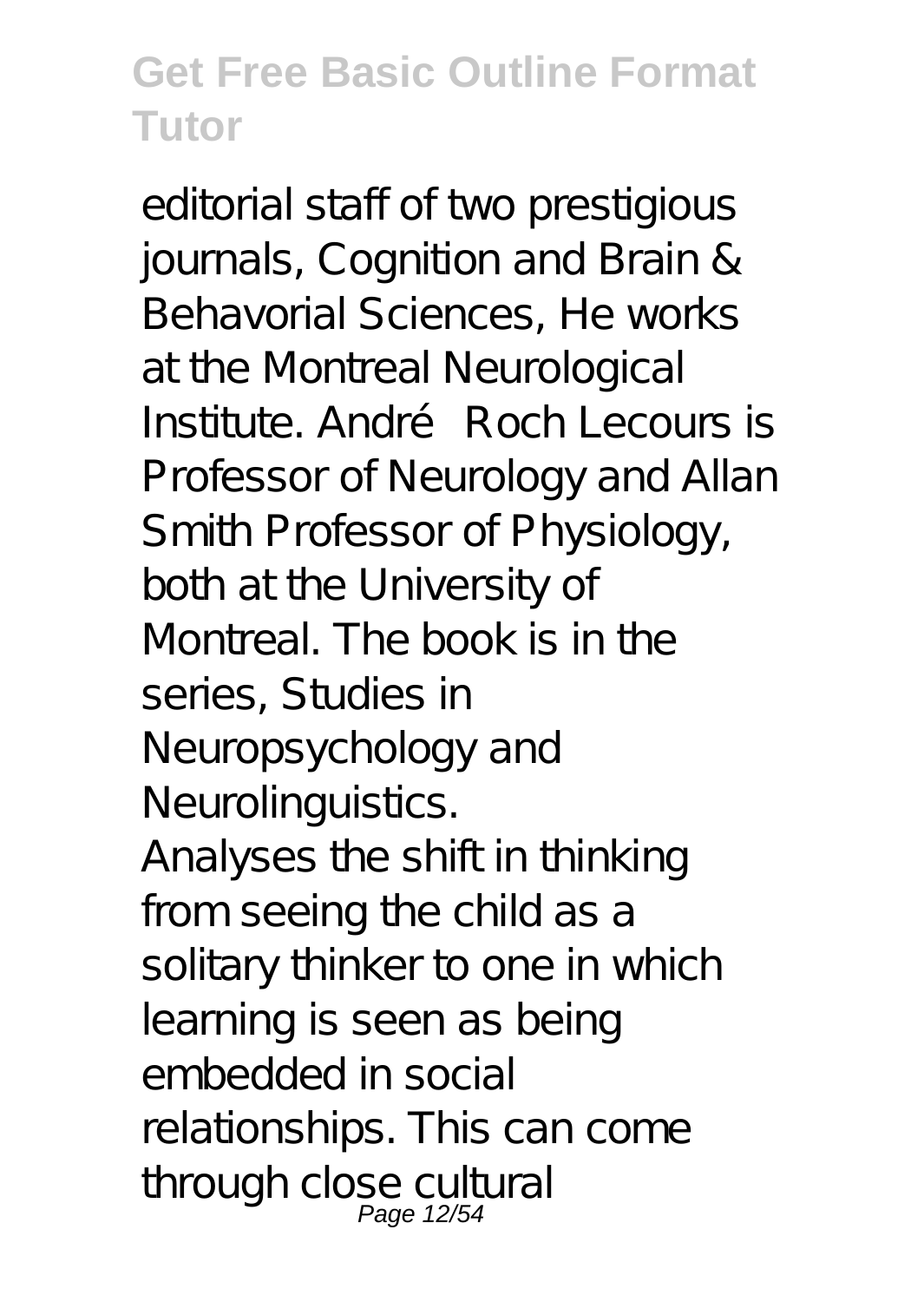editorial staff of two prestigious journals, Cognition and Brain & Behavorial Sciences, He works at the Montreal Neurological Institute. André Roch Lecours is Professor of Neurology and Allan Smith Professor of Physiology, both at the University of Montreal. The book is in the series, Studies in Neuropsychology and Neurolinguistics. Analyses the shift in thinking from seeing the child as a solitary thinker to one in which learning is seen as being embedded in social relationships. This can come through close cultural Page 12/54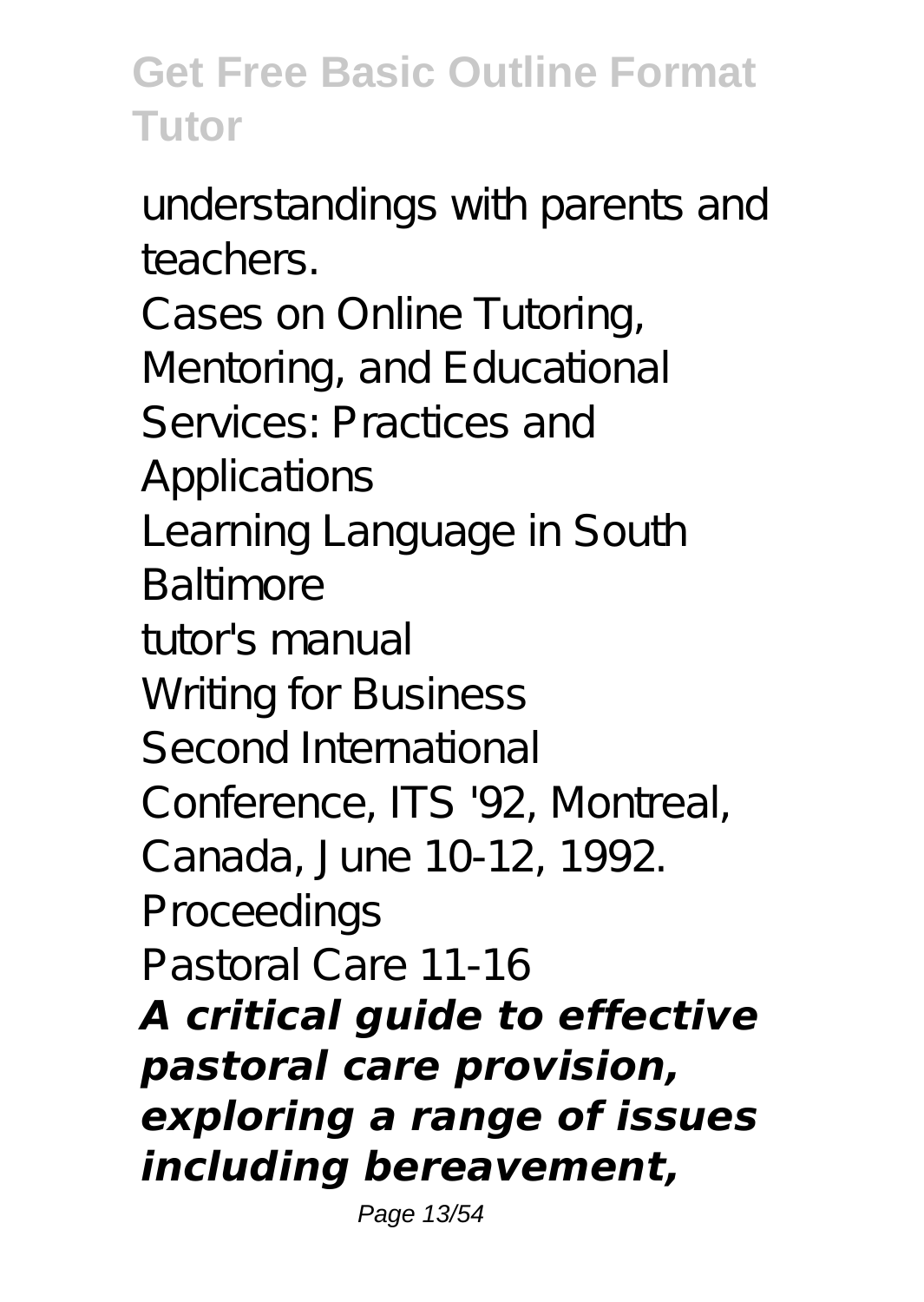understandings with parents and teachers.

Cases on Online Tutoring, Mentoring, and Educational Services: Practices and A pplications Learning Language in South Baltimore tutor's manual Writing for Business Second International

Conference, ITS '92, Montreal,

Canada, June 10-12, 1992.

Proceedings

Pastoral Care 11-16

*A critical guide to effective pastoral care provision, exploring a range of issues including bereavement,*

Page 13/54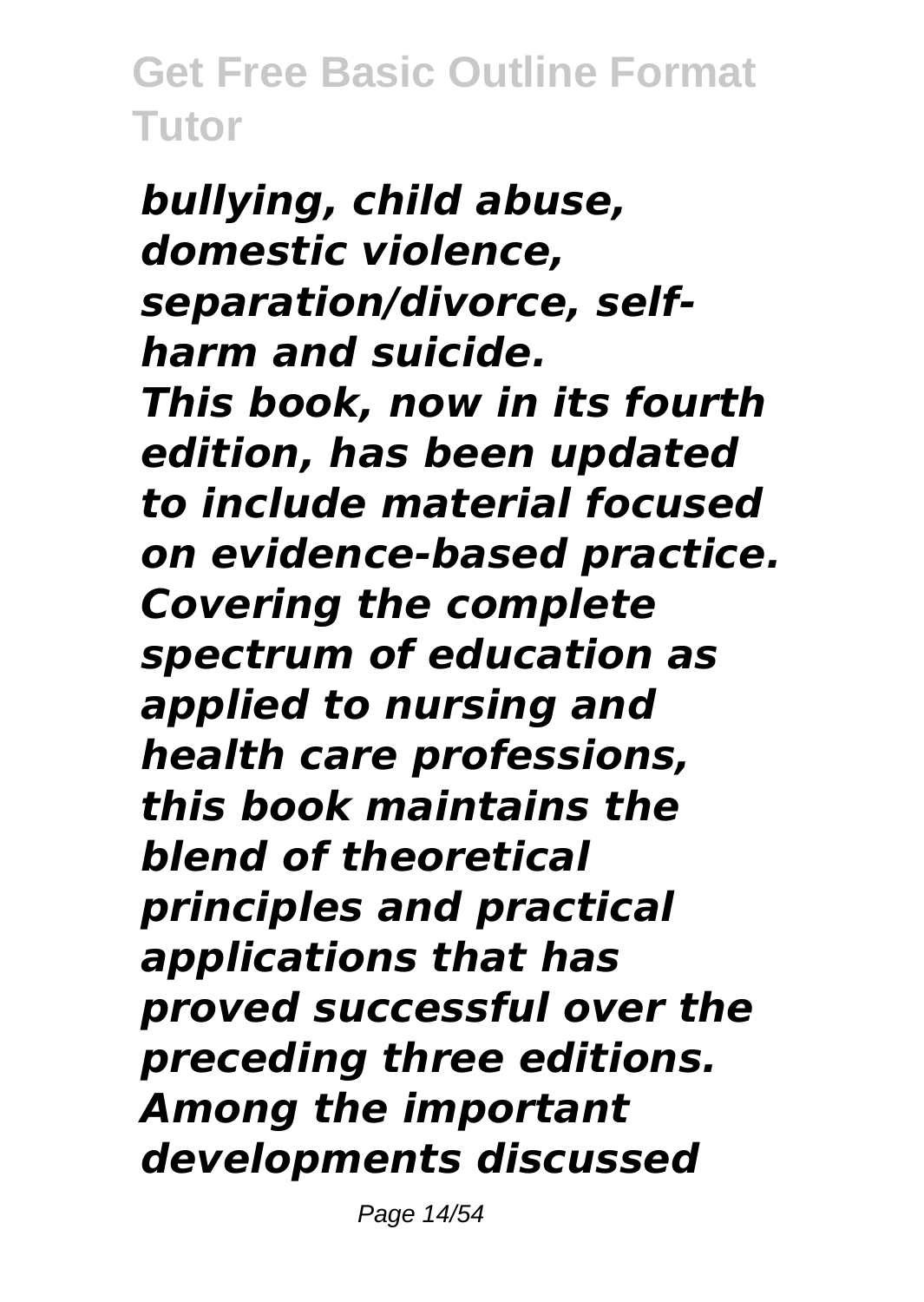*bullying, child abuse, domestic violence, separation/divorce, selfharm and suicide. This book, now in its fourth edition, has been updated to include material focused on evidence-based practice. Covering the complete spectrum of education as applied to nursing and health care professions, this book maintains the blend of theoretical principles and practical applications that has proved successful over the preceding three editions. Among the important developments discussed*

Page 14/54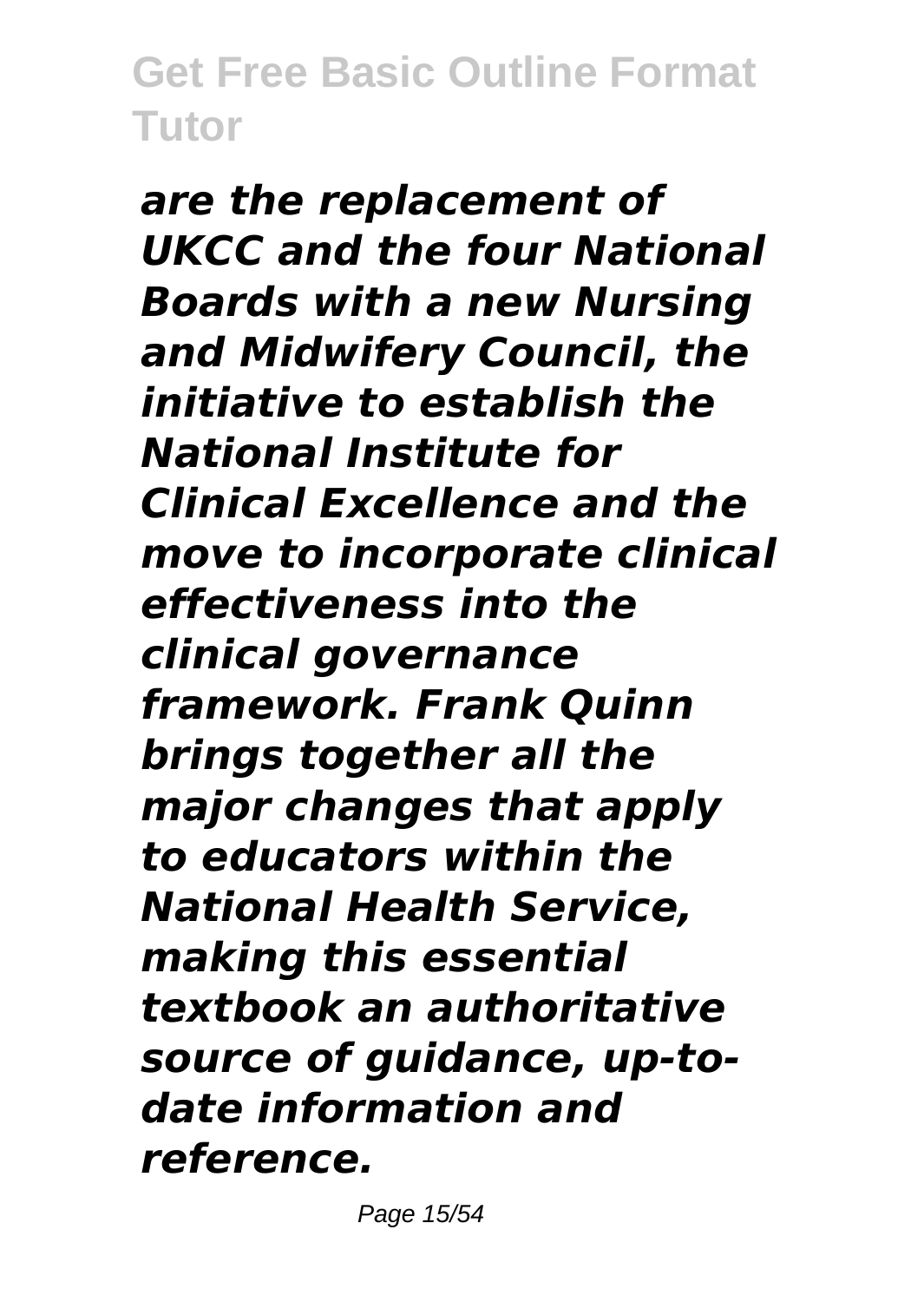*are the replacement of UKCC and the four National Boards with a new Nursing and Midwifery Council, the initiative to establish the National Institute for Clinical Excellence and the move to incorporate clinical effectiveness into the clinical governance framework. Frank Quinn brings together all the major changes that apply to educators within the National Health Service, making this essential textbook an authoritative source of guidance, up-todate information and reference.*

Page 15/54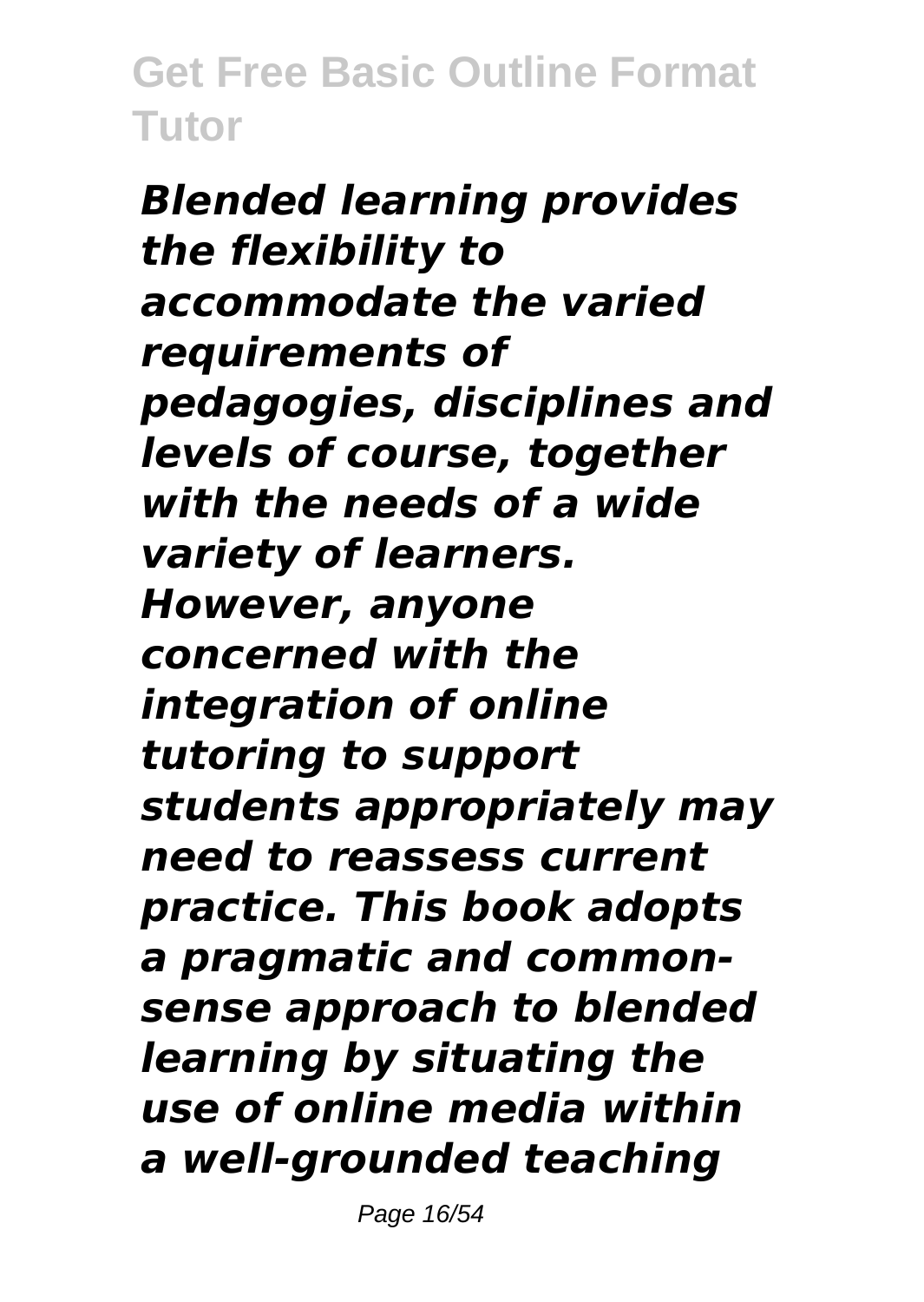*Blended learning provides the flexibility to accommodate the varied requirements of pedagogies, disciplines and levels of course, together with the needs of a wide variety of learners. However, anyone concerned with the integration of online tutoring to support students appropriately may need to reassess current practice. This book adopts a pragmatic and commonsense approach to blended learning by situating the use of online media within a well-grounded teaching*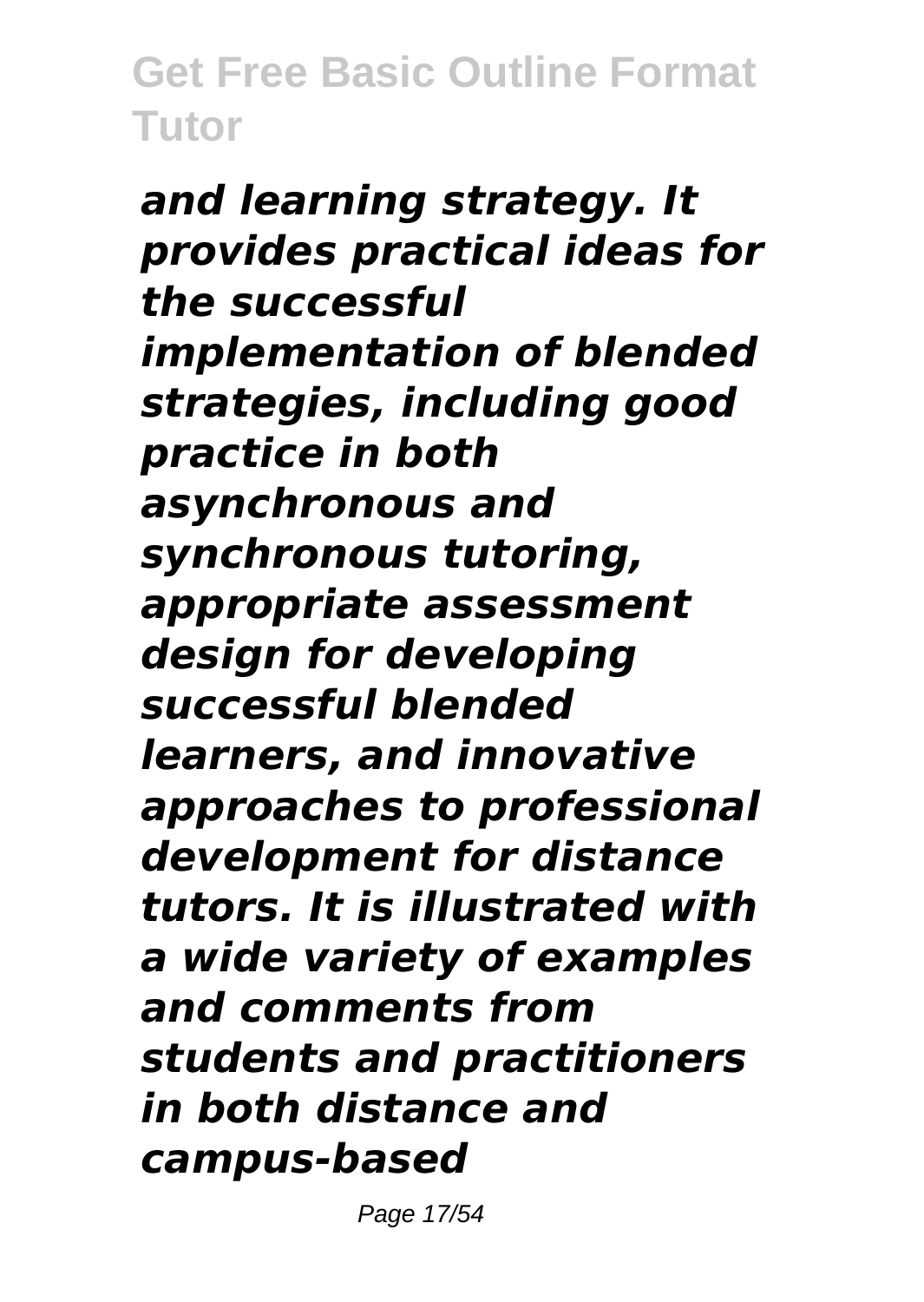*and learning strategy. It provides practical ideas for the successful implementation of blended strategies, including good practice in both asynchronous and synchronous tutoring, appropriate assessment design for developing successful blended learners, and innovative approaches to professional development for distance tutors. It is illustrated with a wide variety of examples and comments from students and practitioners in both distance and campus-based*

Page 17/54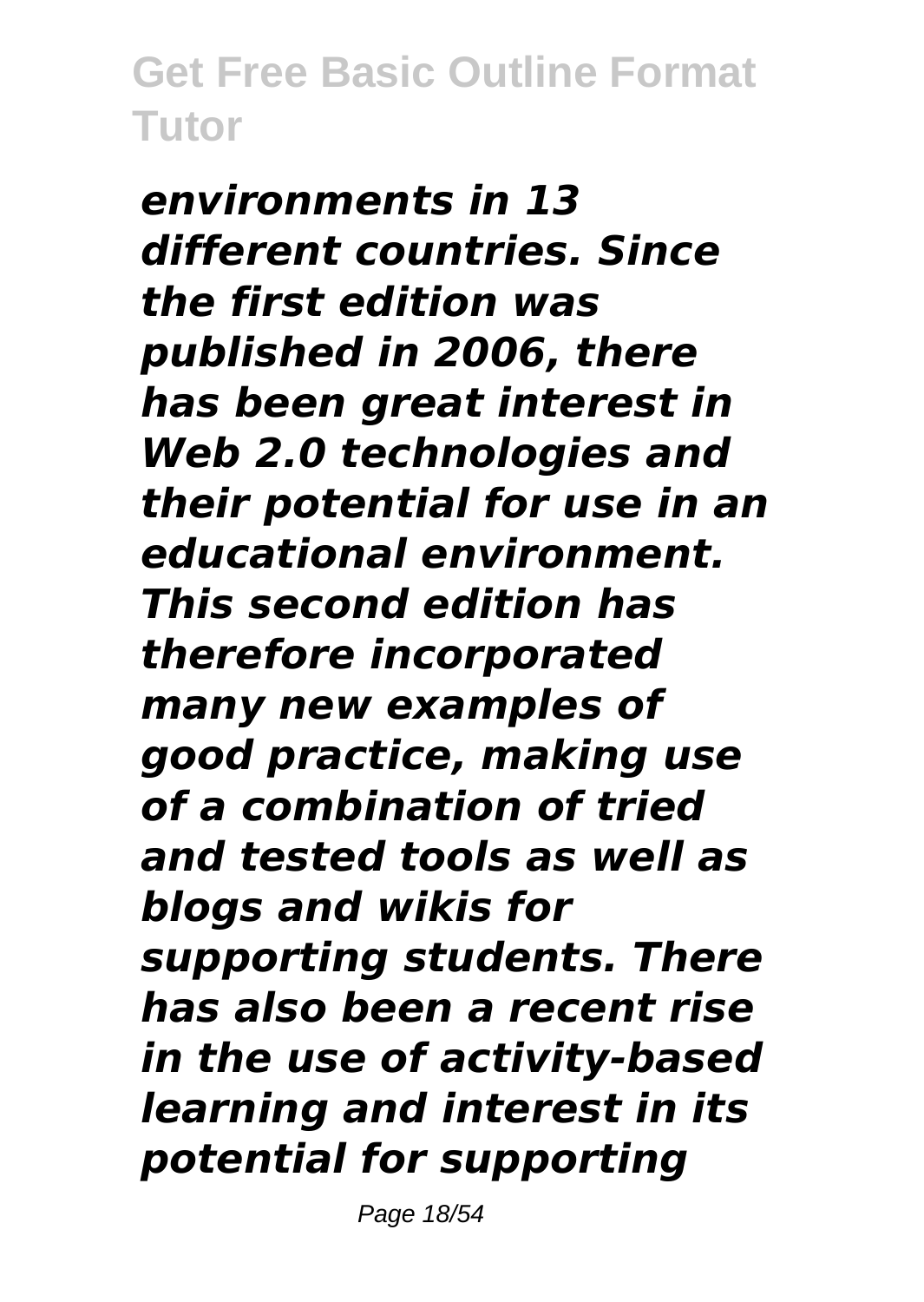*environments in 13 different countries. Since the first edition was published in 2006, there has been great interest in Web 2.0 technologies and their potential for use in an educational environment. This second edition has therefore incorporated many new examples of good practice, making use of a combination of tried and tested tools as well as blogs and wikis for supporting students. There has also been a recent rise in the use of activity-based learning and interest in its potential for supporting*

Page 18/54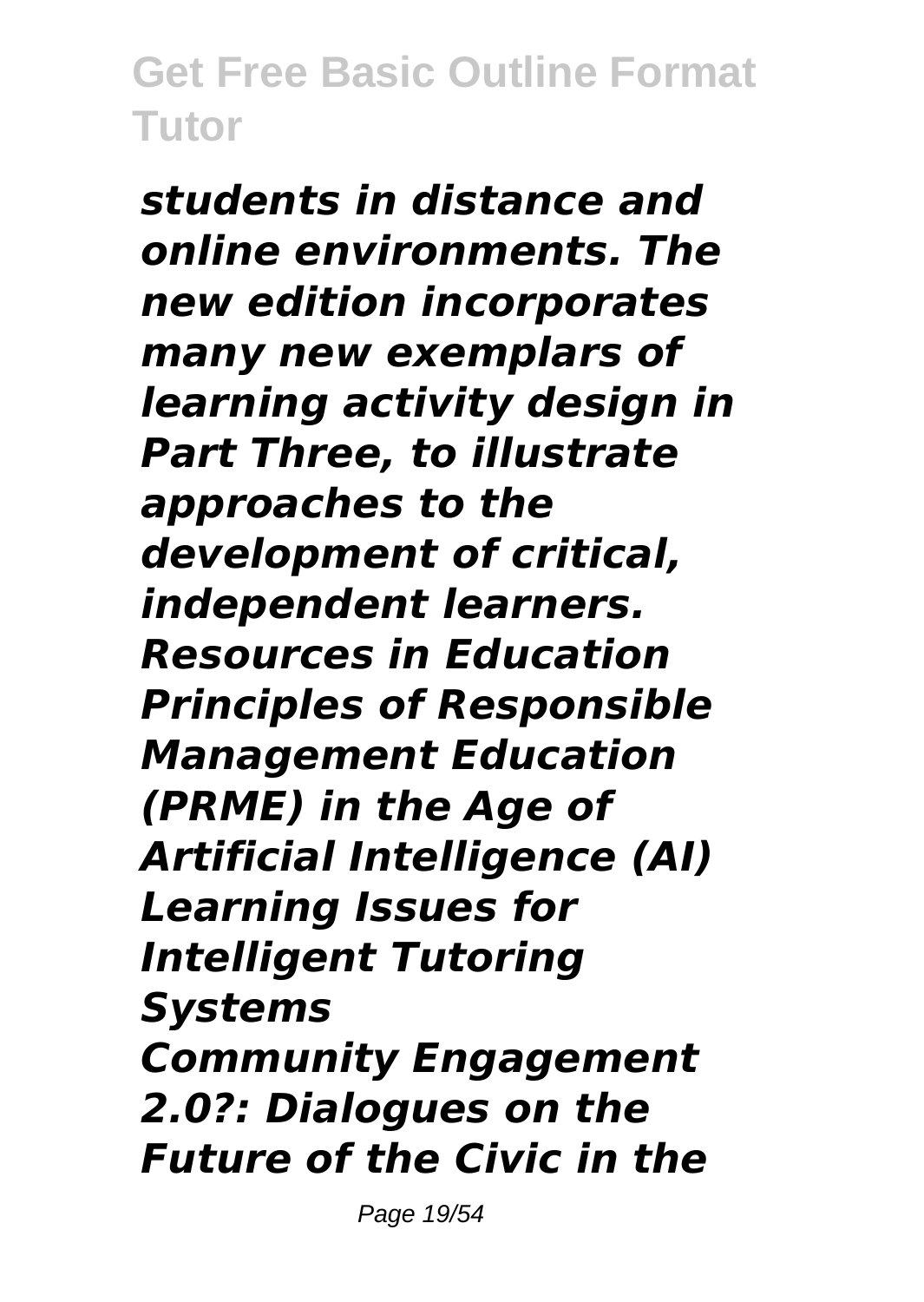*students in distance and online environments. The new edition incorporates many new exemplars of learning activity design in Part Three, to illustrate approaches to the development of critical, independent learners. Resources in Education Principles of Responsible Management Education (PRME) in the Age of Artificial Intelligence (AI) Learning Issues for Intelligent Tutoring Systems Community Engagement 2.0?: Dialogues on the Future of the Civic in the*

Page 19/54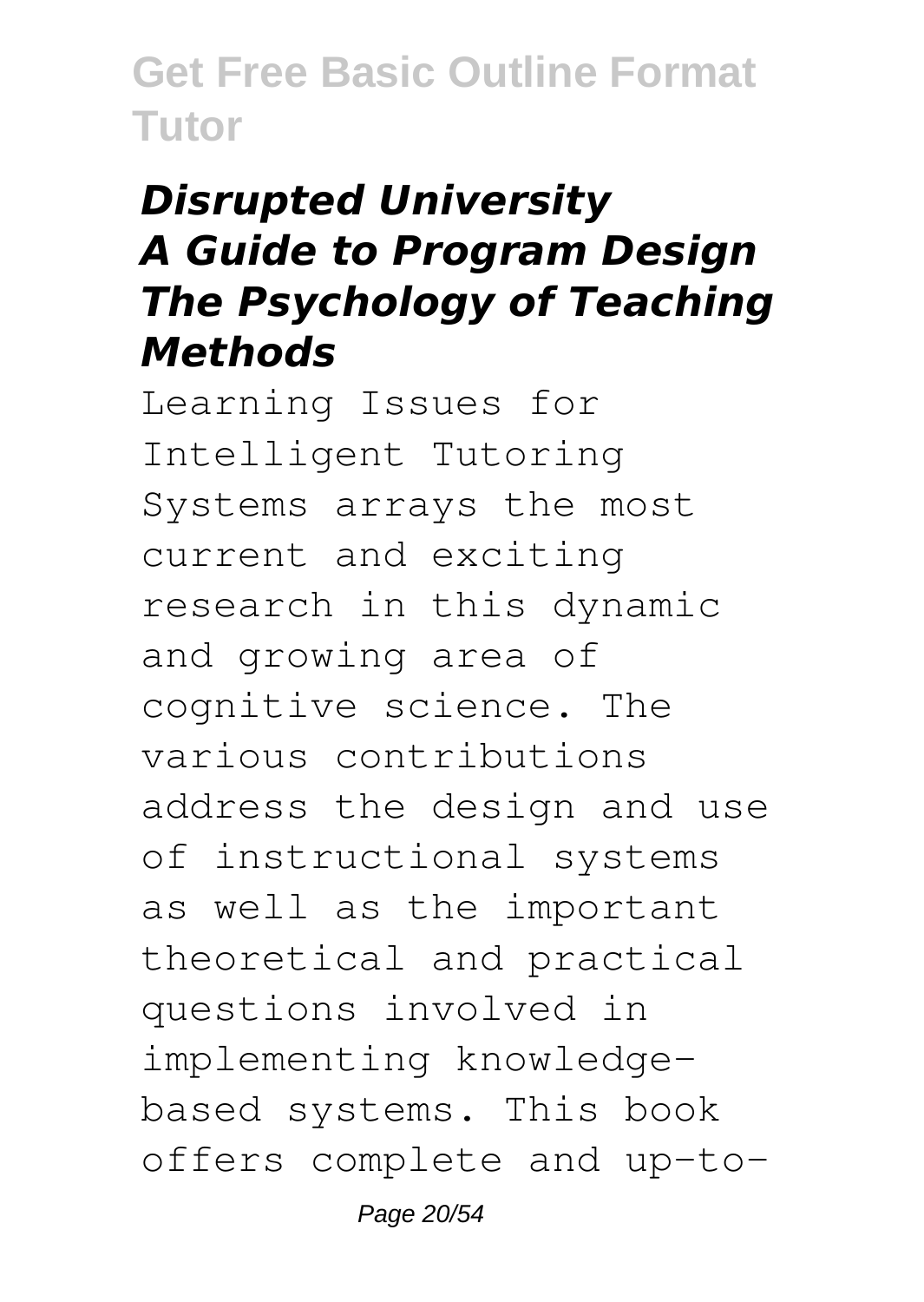#### *Disrupted University A Guide to Program Design The Psychology of Teaching Methods*

Learning Issues for Intelligent Tutoring Systems arrays the most current and exciting research in this dynamic and growing area of cognitive science. The various contributions address the design and use of instructional systems as well as the important theoretical and practical questions involved in implementing knowledgebased systems. This book offers complete and up-to-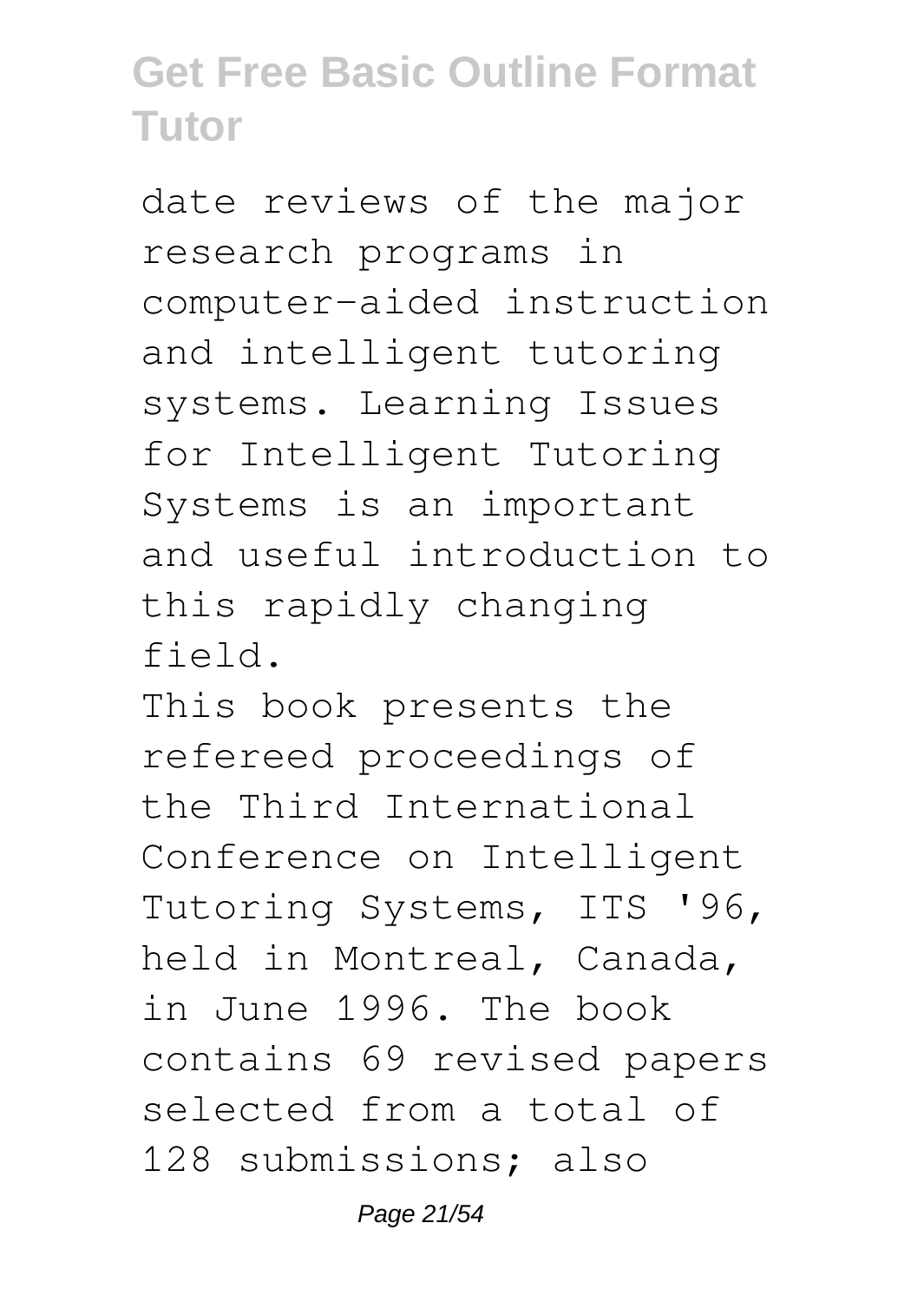date reviews of the major research programs in computer-aided instruction and intelligent tutoring systems. Learning Issues for Intelligent Tutoring Systems is an important and useful introduction to this rapidly changing field.

This book presents the refereed proceedings of the Third International Conference on Intelligent Tutoring Systems, ITS '96, held in Montreal, Canada, in June 1996. The book contains 69 revised papers selected from a total of 128 submissions; also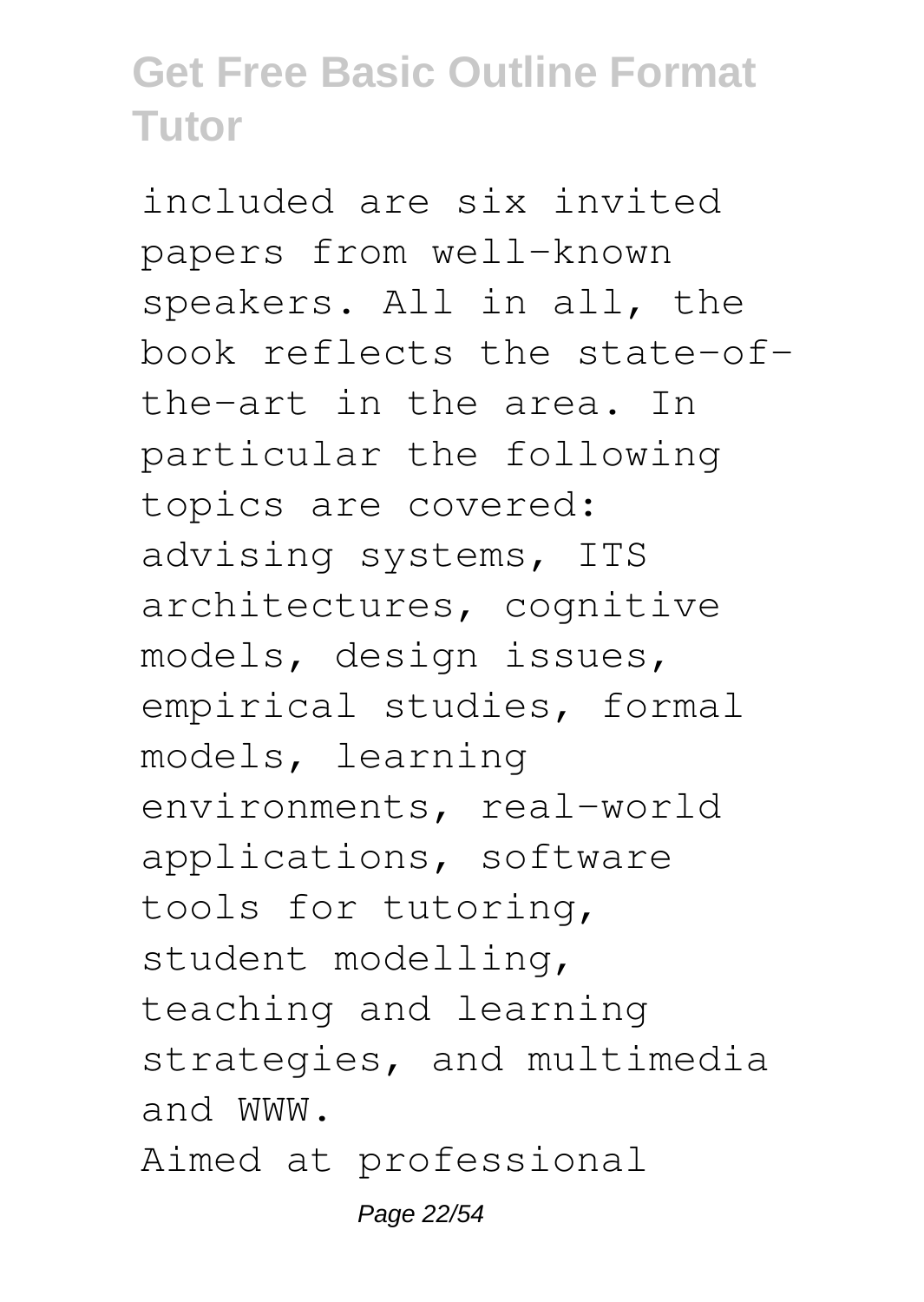included are six invited papers from well-known speakers. All in all, the book reflects the state-ofthe-art in the area. In particular the following topics are covered: advising systems, ITS architectures, cognitive models, design issues, empirical studies, formal models, learning environments, real-world applications, software tools for tutoring, student modelling, teaching and learning strategies, and multimedia and WWW. Aimed at professional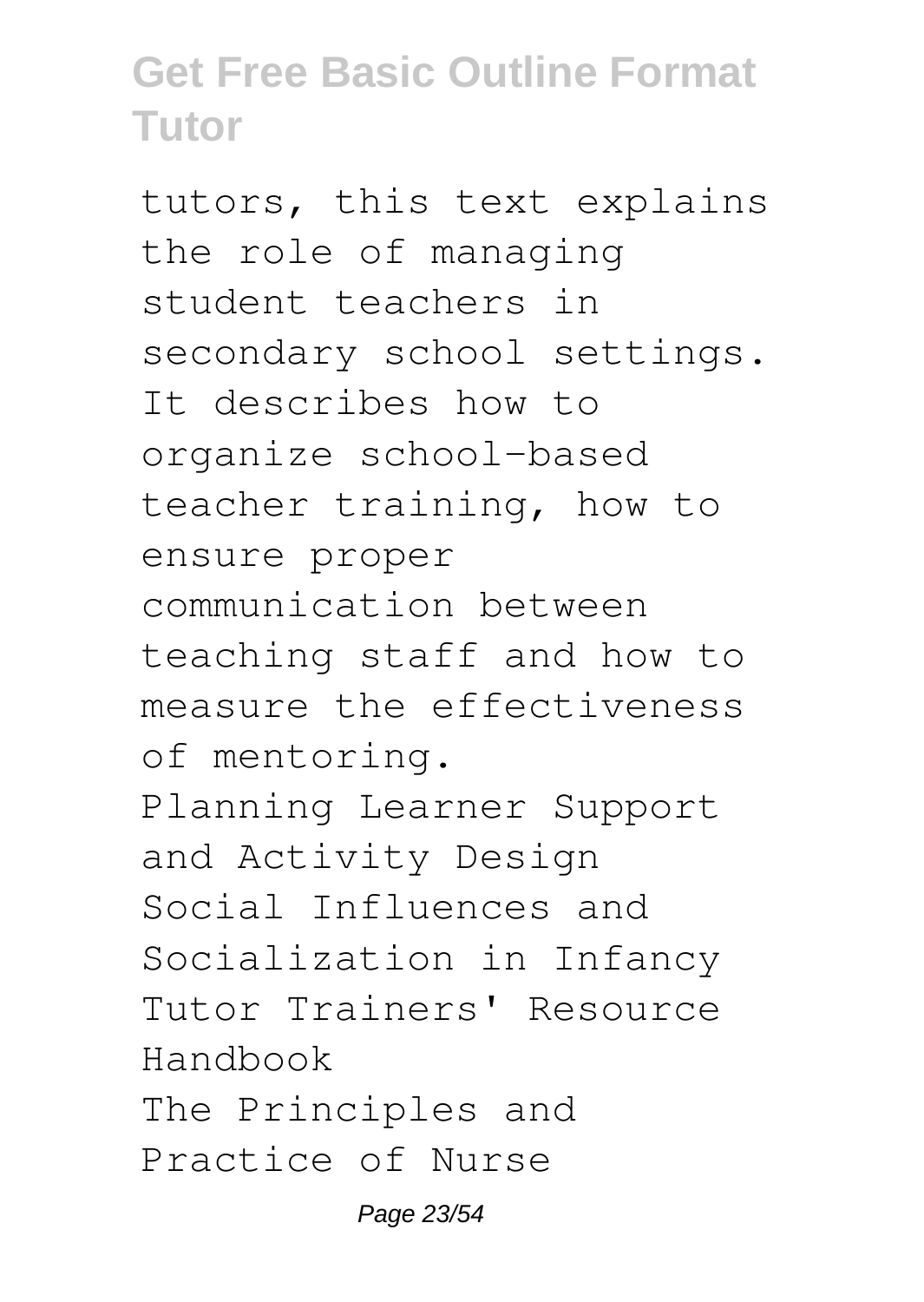tutors, this text explains the role of managing student teachers in secondary school settings. It describes how to organize school-based teacher training, how to ensure proper communication between teaching staff and how to measure the effectiveness of mentoring. Planning Learner Support and Activity Design Social Influences and Socialization in Infancy Tutor Trainers' Resource Handbook The Principles and Practice of Nurse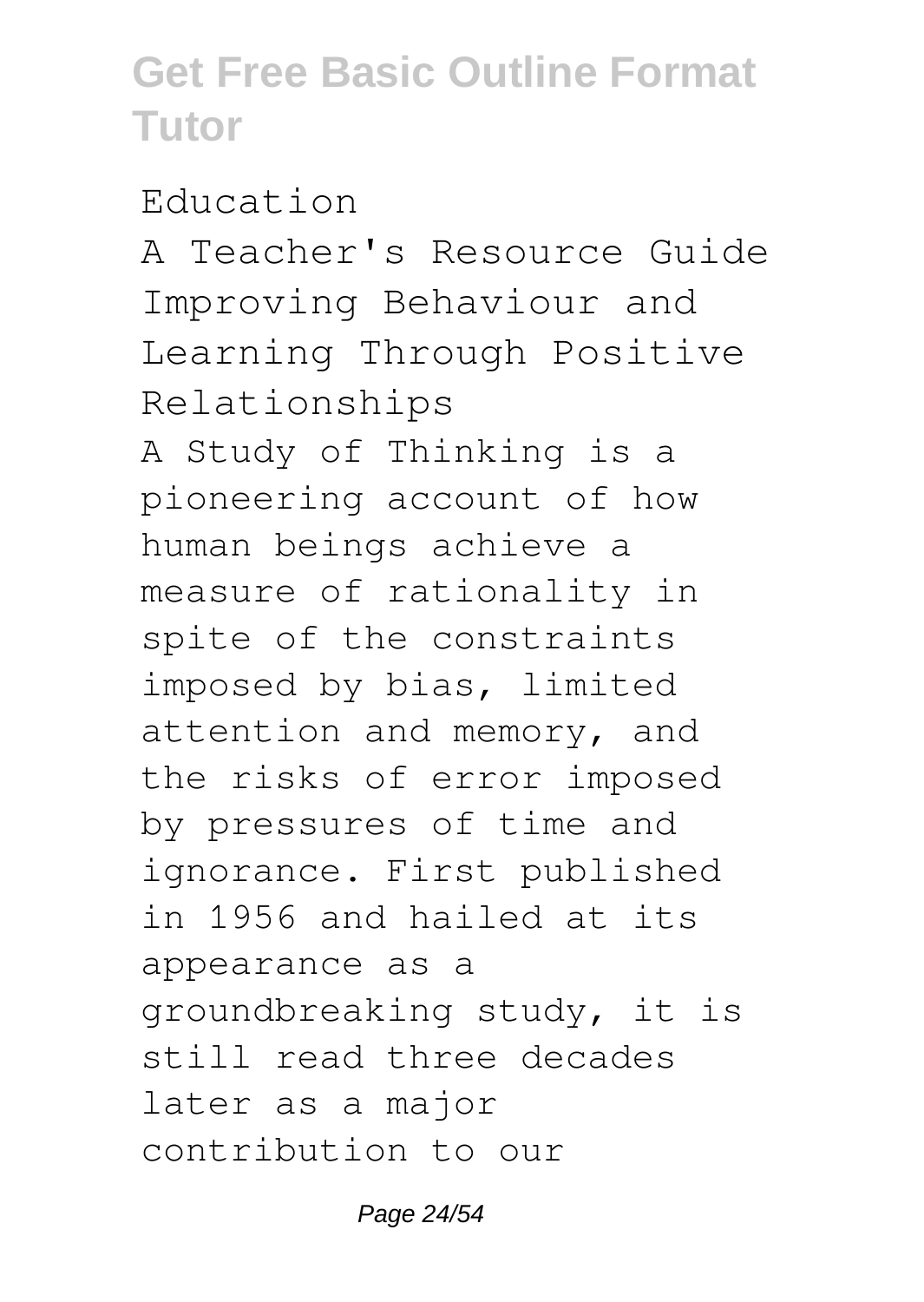#### Education

A Teacher's Resource Guide Improving Behaviour and Learning Through Positive Relationships

A Study of Thinking is a pioneering account of how human beings achieve a measure of rationality in spite of the constraints imposed by bias, limited attention and memory, and the risks of error imposed by pressures of time and ignorance. First published in 1956 and hailed at its appearance as a groundbreaking study, it is still read three decades later as a major contribution to our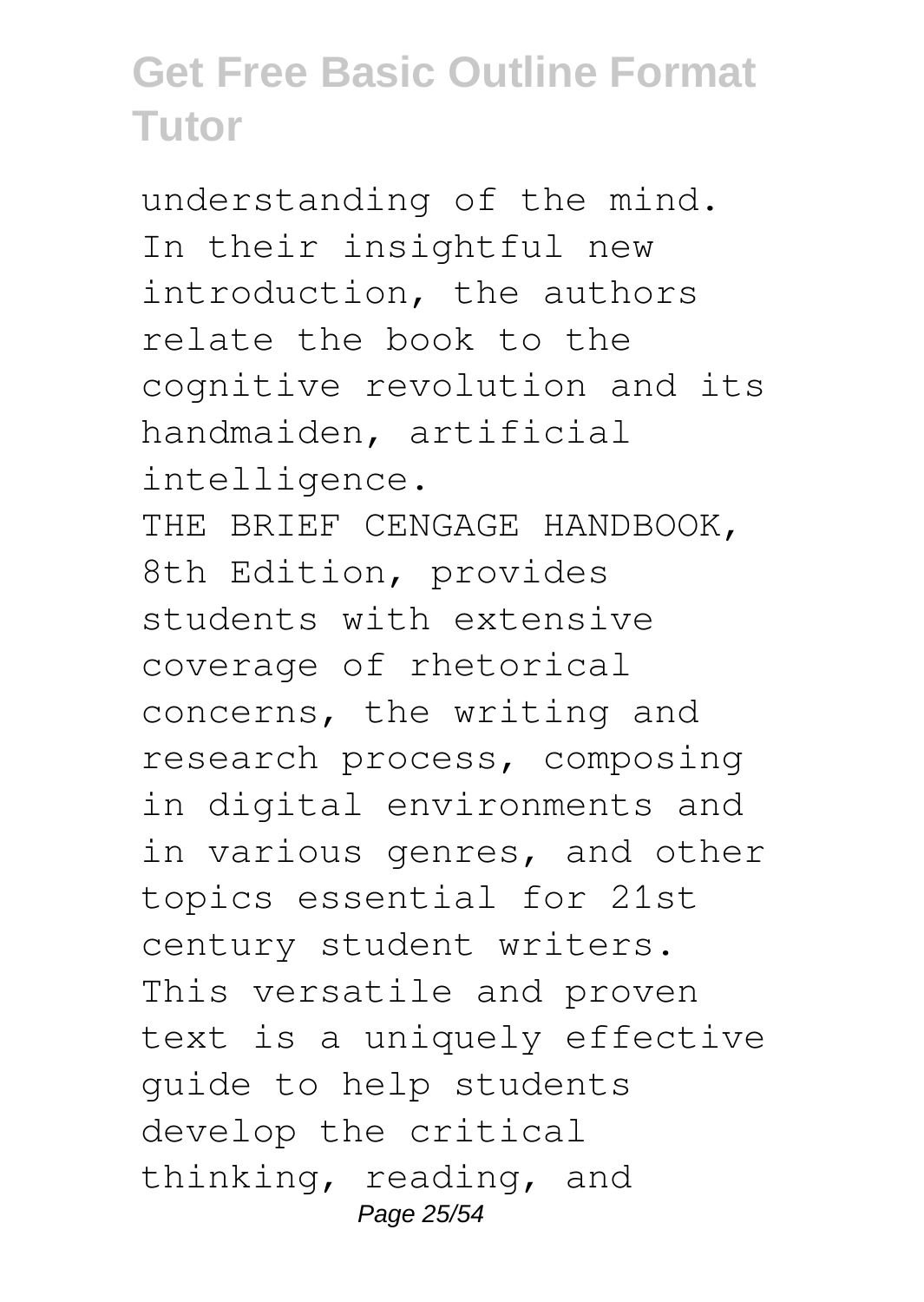understanding of the mind. In their insightful new introduction, the authors relate the book to the cognitive revolution and its handmaiden, artificial intelligence. THE BRIEF CENGAGE HANDBOOK, 8th Edition, provides students with extensive coverage of rhetorical concerns, the writing and research process, composing in digital environments and in various genres, and other topics essential for 21st century student writers. This versatile and proven text is a uniquely effective guide to help students develop the critical thinking, reading, and Page 25/54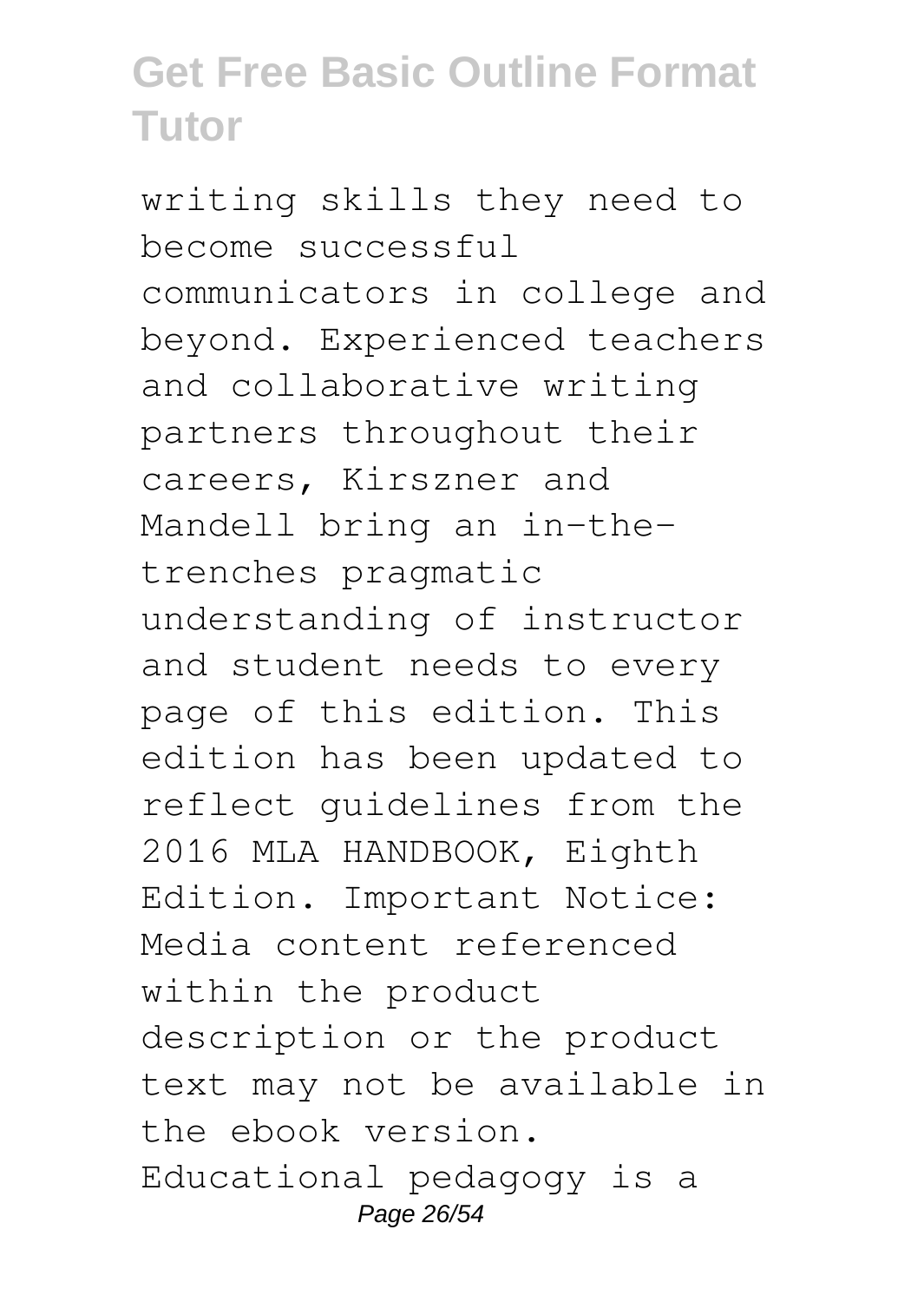writing skills they need to become successful communicators in college and beyond. Experienced teachers and collaborative writing partners throughout their careers, Kirszner and Mandell bring an in-thetrenches pragmatic understanding of instructor and student needs to every page of this edition. This edition has been updated to reflect guidelines from the 2016 MLA HANDBOOK, Eighth Edition. Important Notice: Media content referenced within the product description or the product text may not be available in the ebook version. Educational pedagogy is a Page 26/54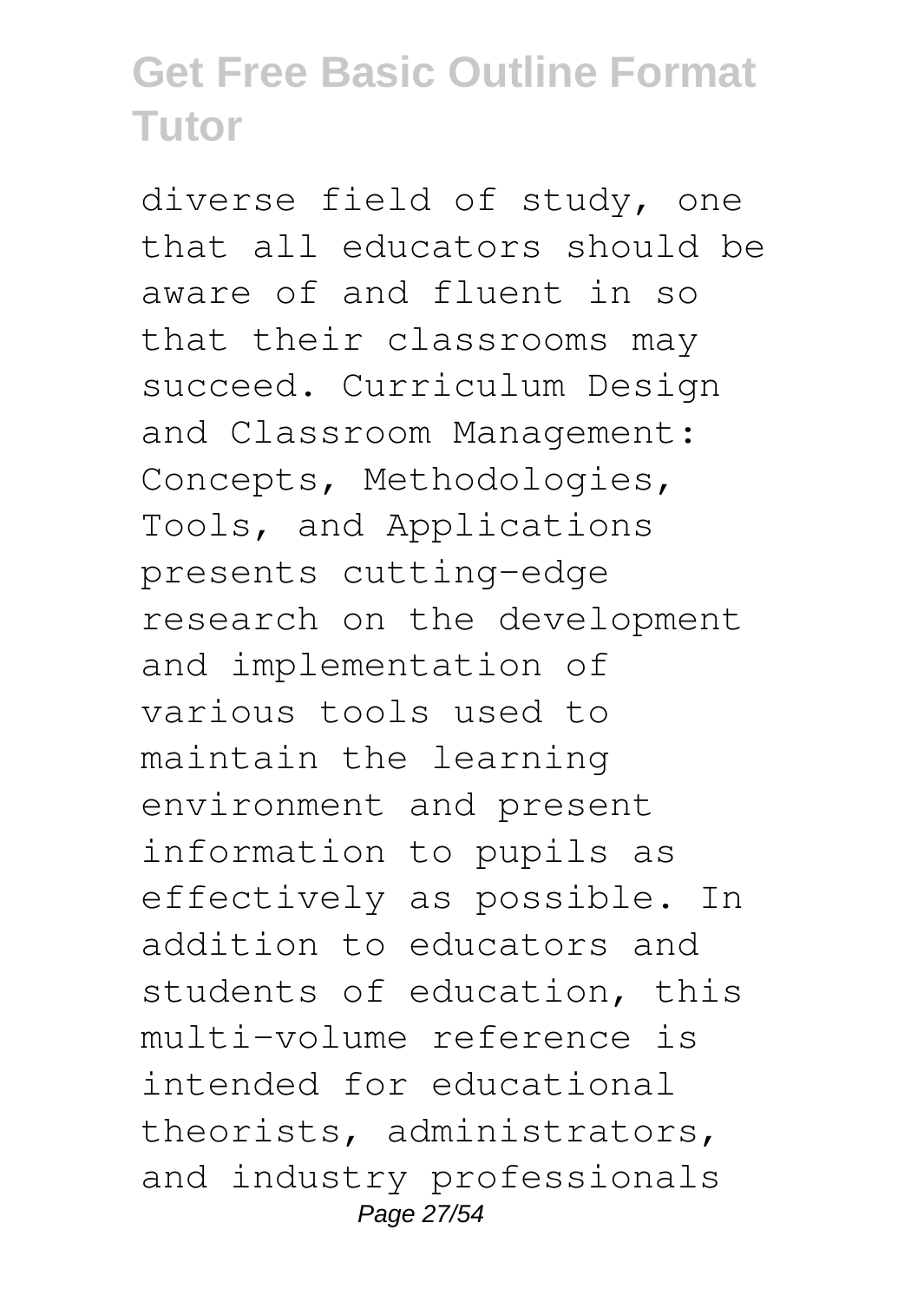diverse field of study, one that all educators should be aware of and fluent in so that their classrooms may succeed. Curriculum Design and Classroom Management: Concepts, Methodologies, Tools, and Applications presents cutting-edge research on the development and implementation of various tools used to maintain the learning environment and present information to pupils as effectively as possible. In addition to educators and students of education, this multi-volume reference is intended for educational theorists, administrators, and industry professionals Page 27/54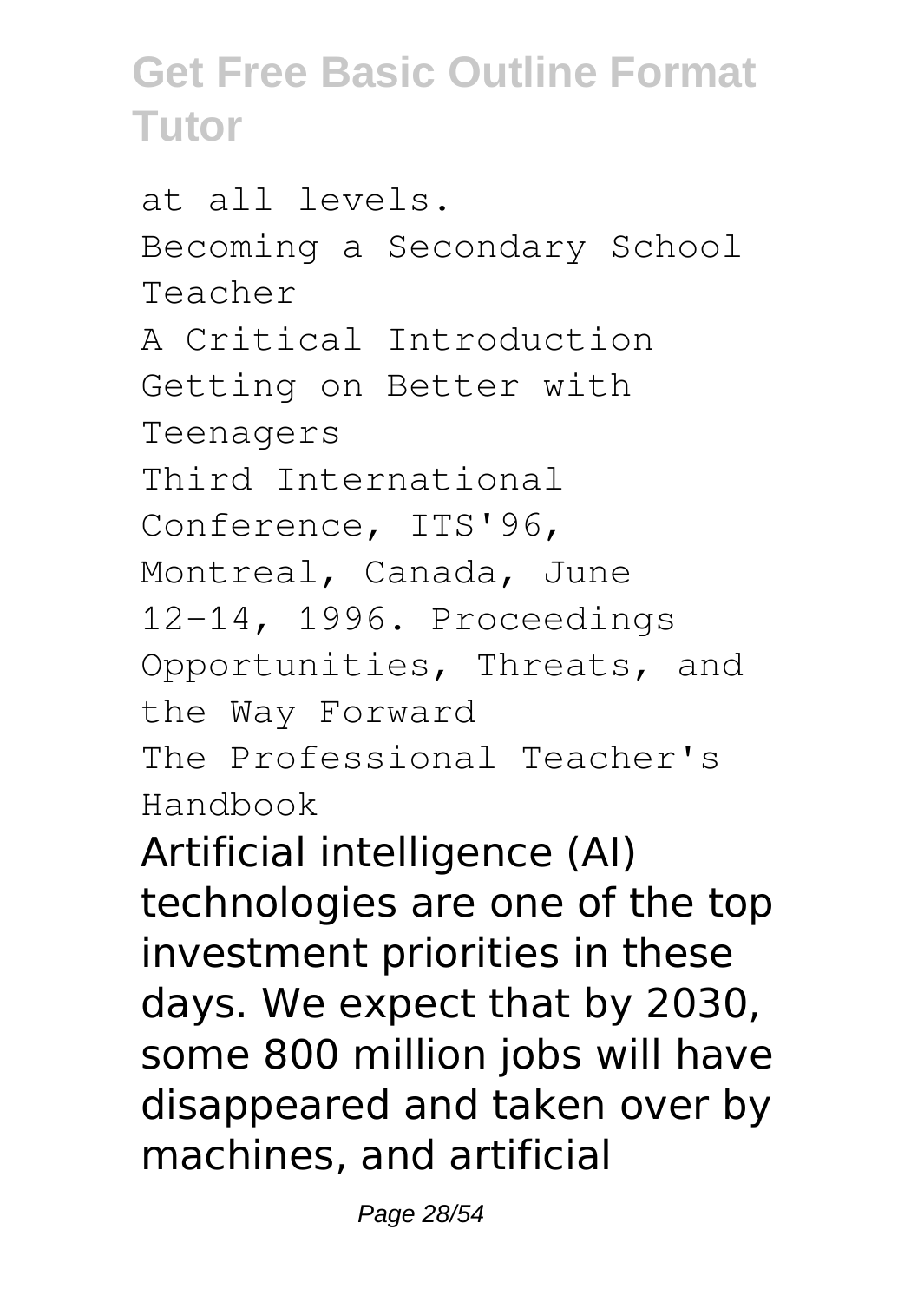at all levels. Becoming a Secondary School Teacher A Critical Introduction Getting on Better with Teenagers Third International Conference, ITS'96, Montreal, Canada, June 12-14, 1996. Proceedings Opportunities, Threats, and the Way Forward The Professional Teacher's Handbook Artificial intelligence (AI) technologies are one of the top investment priorities in these days. We expect that by 2030,

some 800 million jobs will have disappeared and taken over by machines, and artificial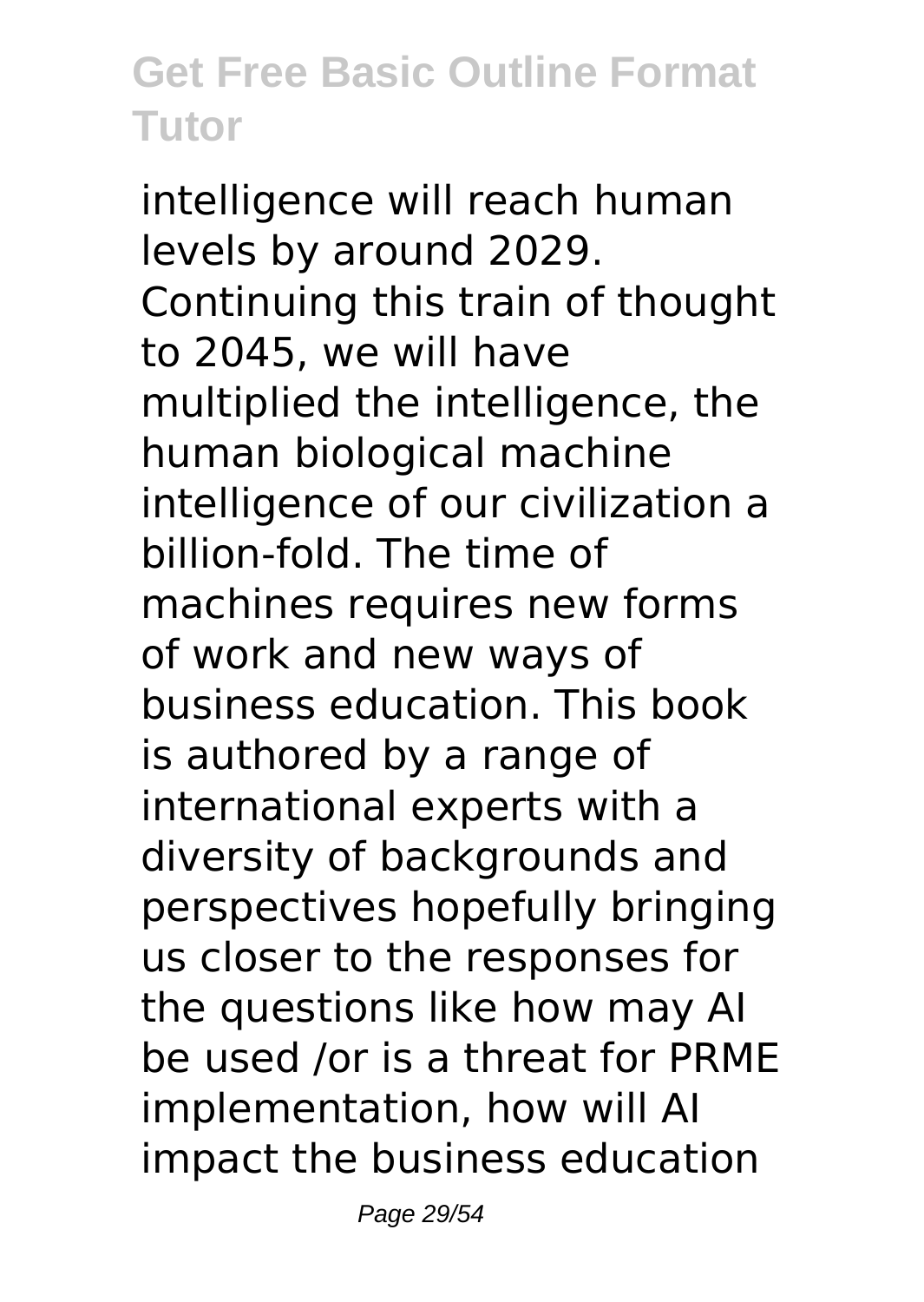intelligence will reach human levels by around 2029. Continuing this train of thought to 2045, we will have multiplied the intelligence, the human biological machine intelligence of our civilization a billion-fold. The time of machines requires new forms of work and new ways of business education. This book is authored by a range of international experts with a diversity of backgrounds and perspectives hopefully bringing us closer to the responses for the questions like how may AI be used /or is a threat for PRME implementation, how will AI impact the business education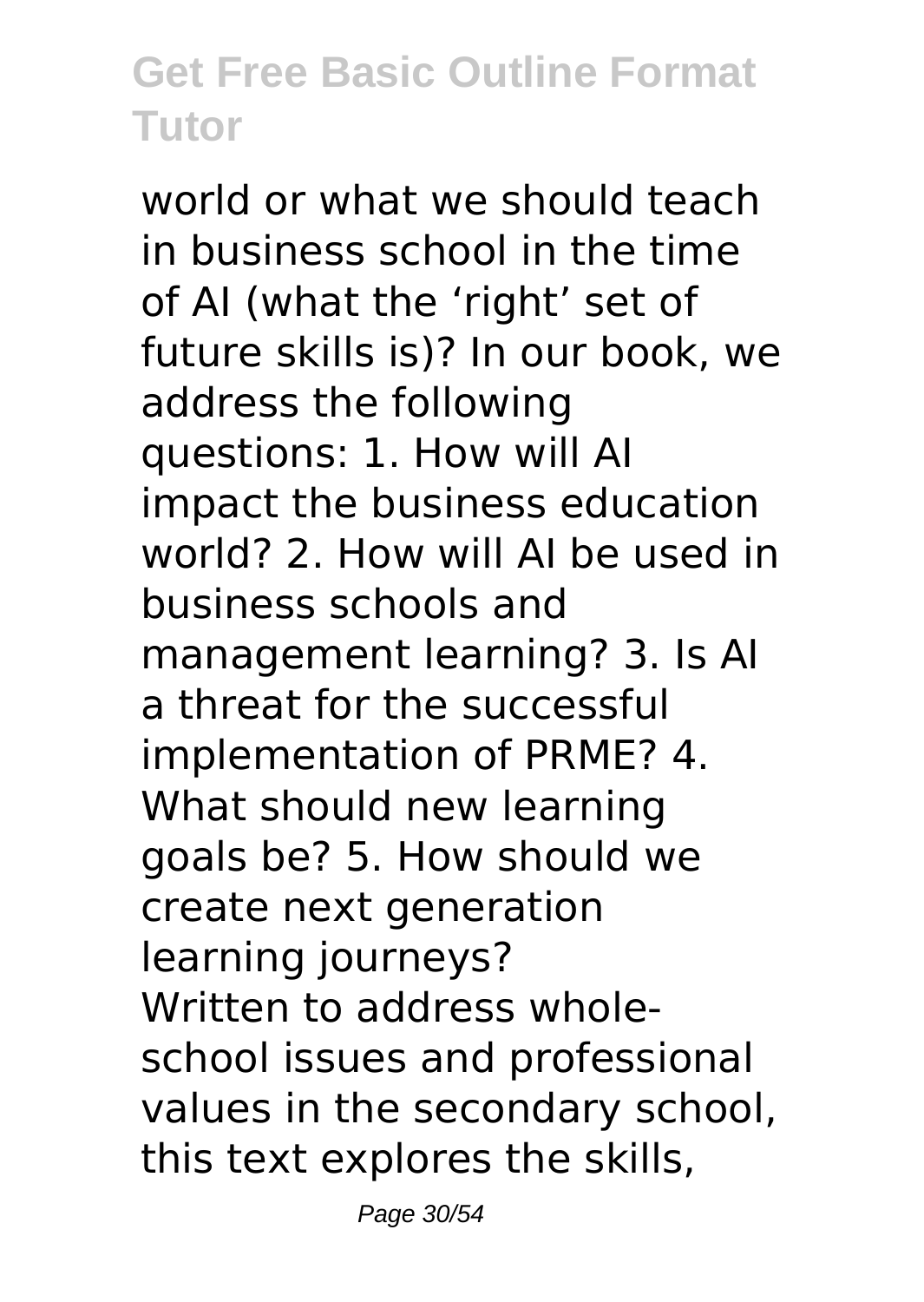world or what we should teach in business school in the time of AI (what the 'right' set of future skills is)? In our book, we address the following questions: 1. How will AI impact the business education world? 2. How will AI be used in business schools and management learning? 3. Is AI a threat for the successful implementation of PRME? 4. What should new learning goals be? 5. How should we create next generation learning journeys? Written to address wholeschool issues and professional values in the secondary school, this text explores the skills,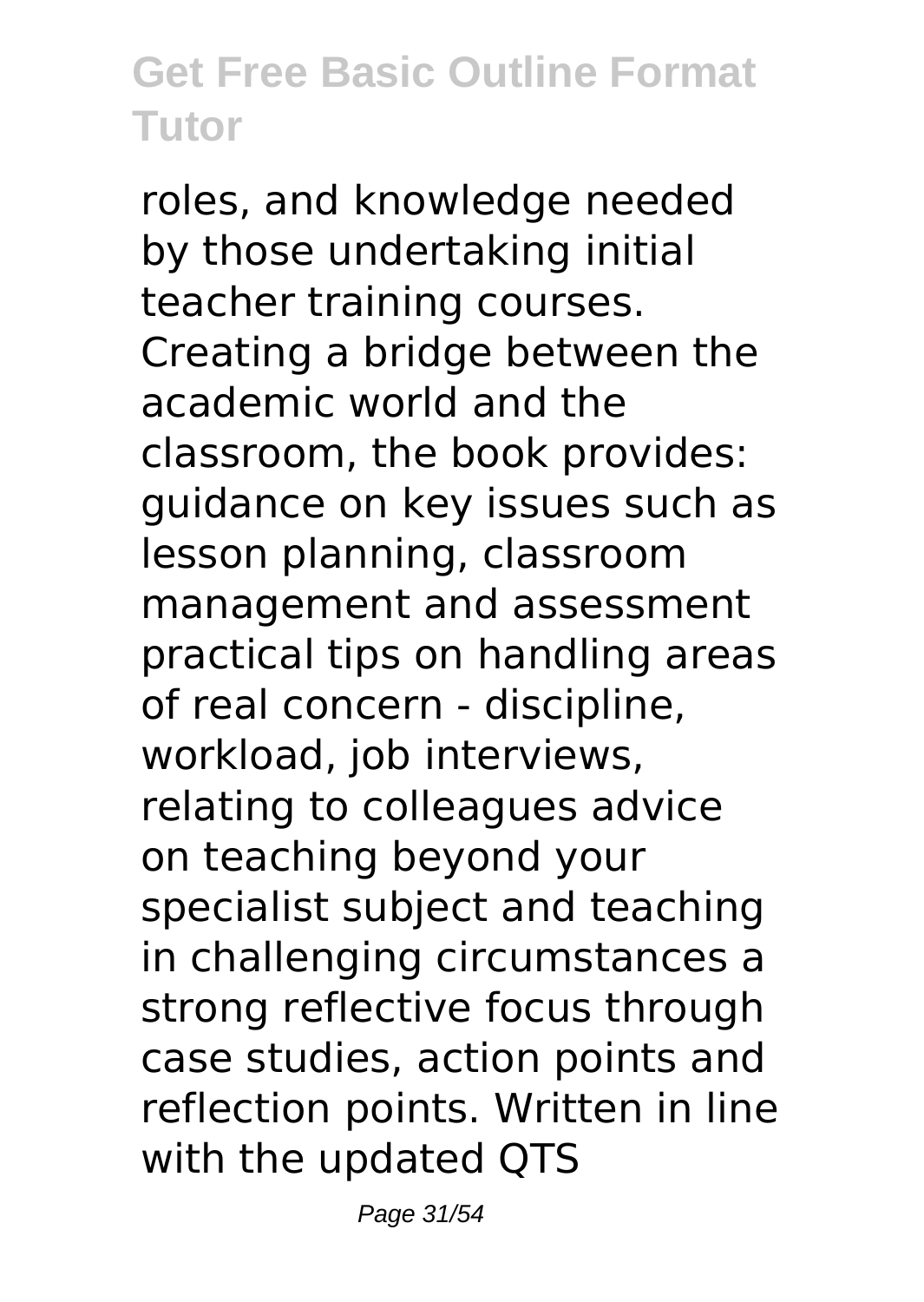roles, and knowledge needed by those undertaking initial teacher training courses. Creating a bridge between the academic world and the classroom, the book provides: guidance on key issues such as lesson planning, classroom management and assessment practical tips on handling areas of real concern - discipline, workload, job interviews, relating to colleagues advice on teaching beyond your specialist subject and teaching in challenging circumstances a strong reflective focus through case studies, action points and reflection points. Written in line with the updated QTS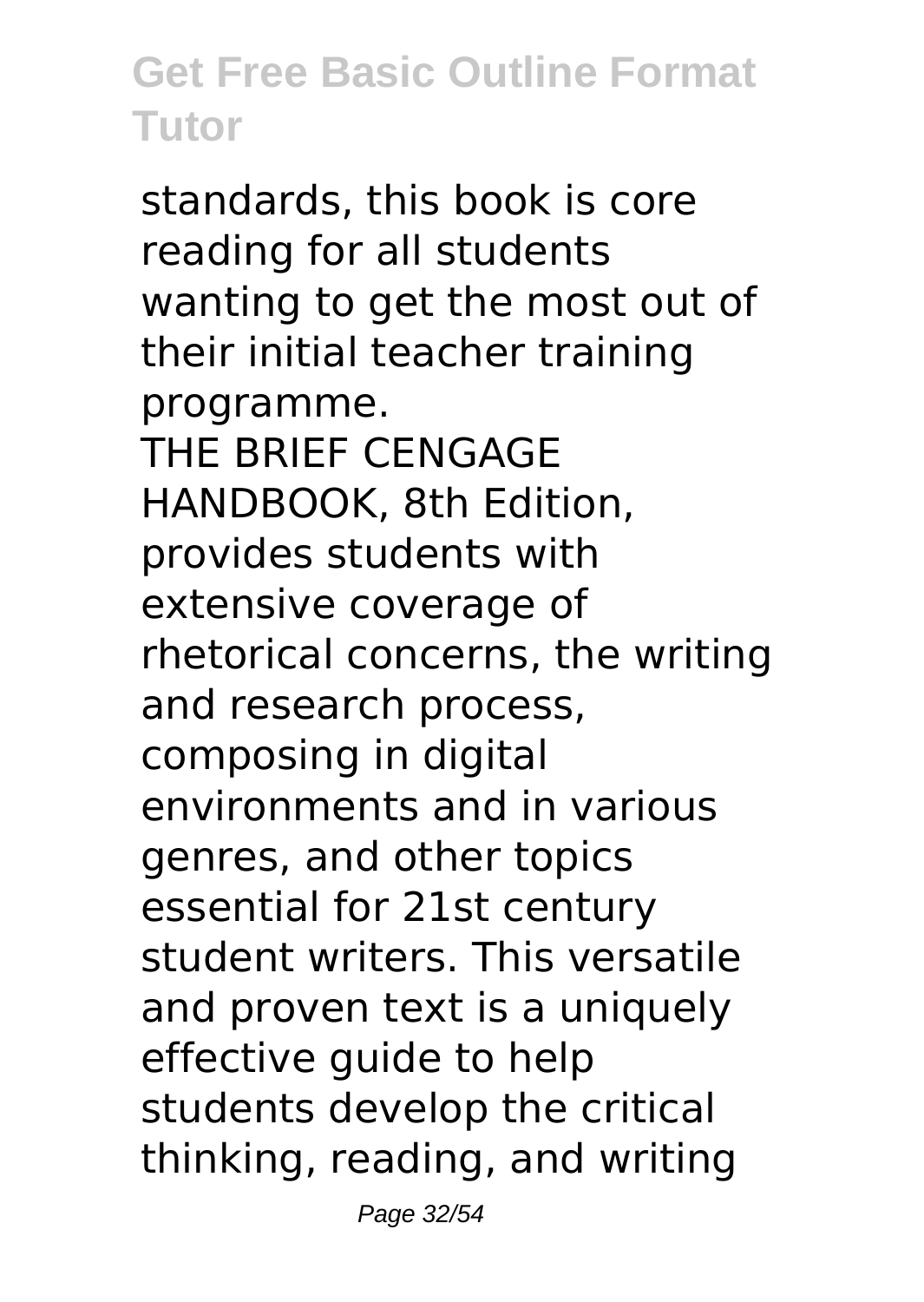standards, this book is core reading for all students wanting to get the most out of their initial teacher training programme. THE BRIEF CENGAGE HANDBOOK, 8th Edition, provides students with extensive coverage of rhetorical concerns, the writing and research process, composing in digital environments and in various genres, and other topics essential for 21st century student writers. This versatile and proven text is a uniquely effective guide to help students develop the critical thinking, reading, and writing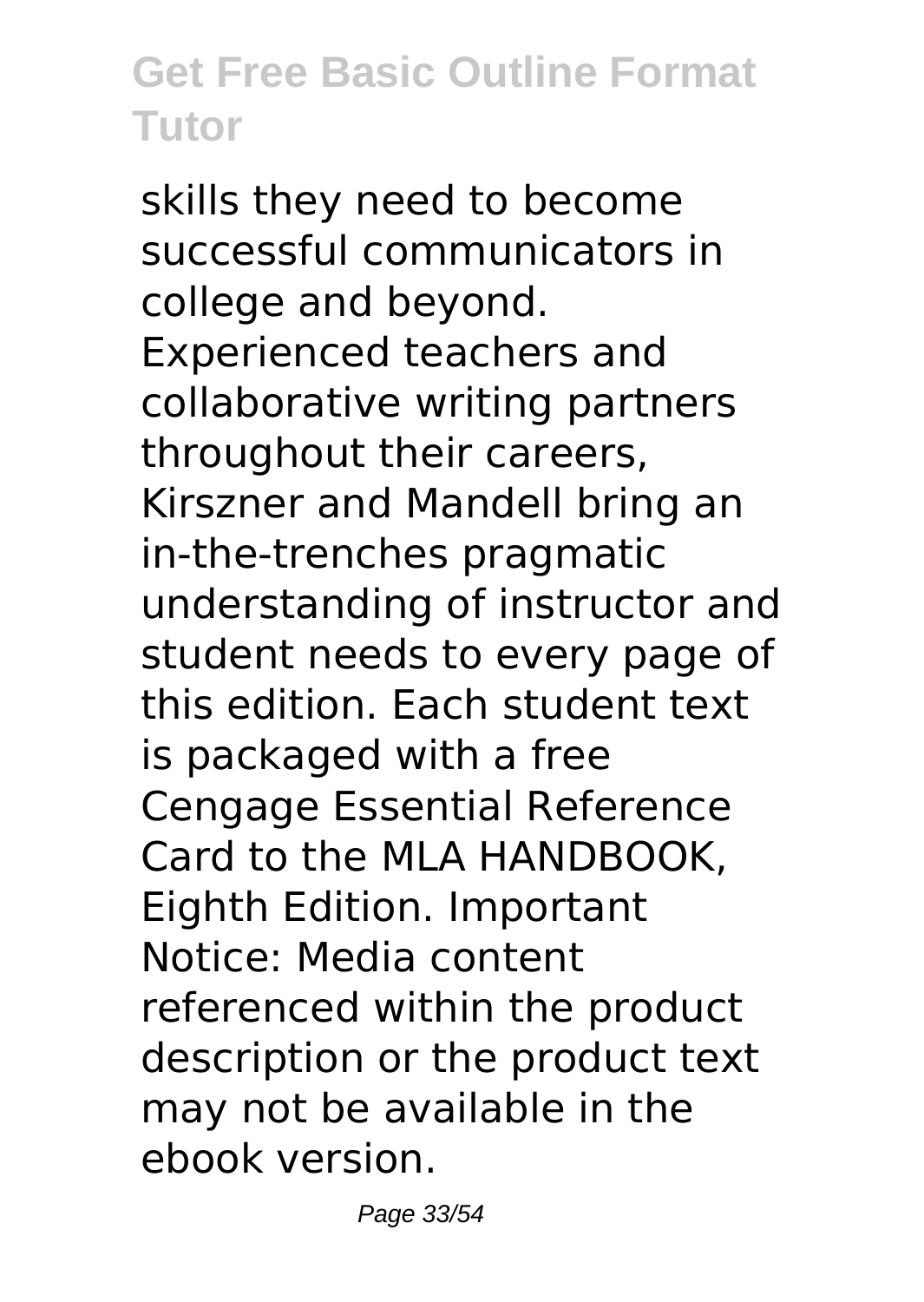skills they need to become successful communicators in college and beyond. Experienced teachers and collaborative writing partners throughout their careers, Kirszner and Mandell bring an in-the-trenches pragmatic understanding of instructor and student needs to every page of this edition. Each student text is packaged with a free Cengage Essential Reference Card to the MLA HANDBOOK, Eighth Edition. Important Notice: Media content referenced within the product description or the product text may not be available in the ebook version.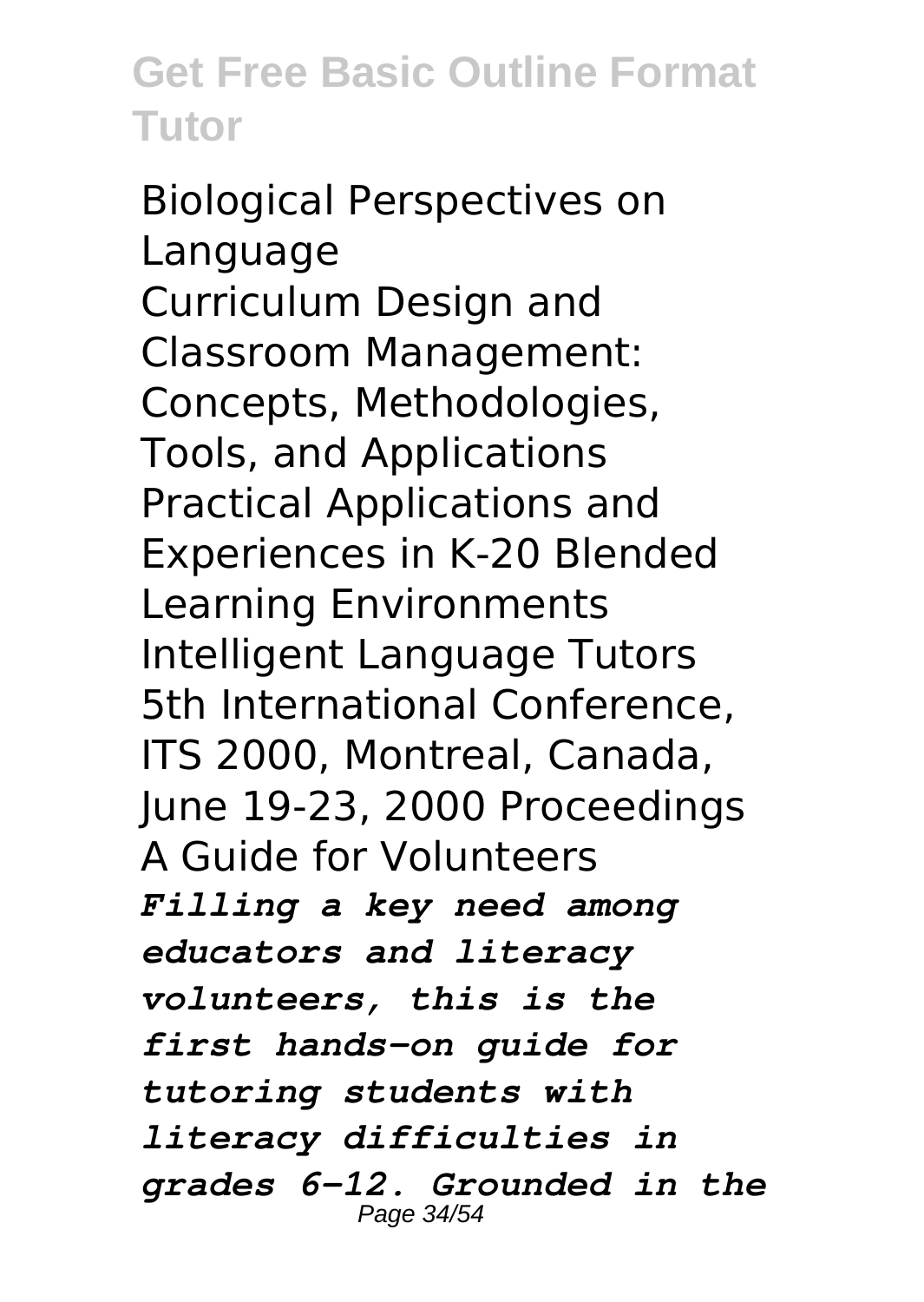Biological Perspectives on Language Curriculum Design and Classroom Management: Concepts, Methodologies, Tools, and Applications Practical Applications and Experiences in K-20 Blended Learning Environments Intelligent Language Tutors 5th International Conference, ITS 2000, Montreal, Canada, June 19-23, 2000 Proceedings A Guide for Volunteers *Filling a key need among educators and literacy volunteers, this is the first hands-on guide for tutoring students with literacy difficulties in grades 6-12. Grounded in the* Page 34/54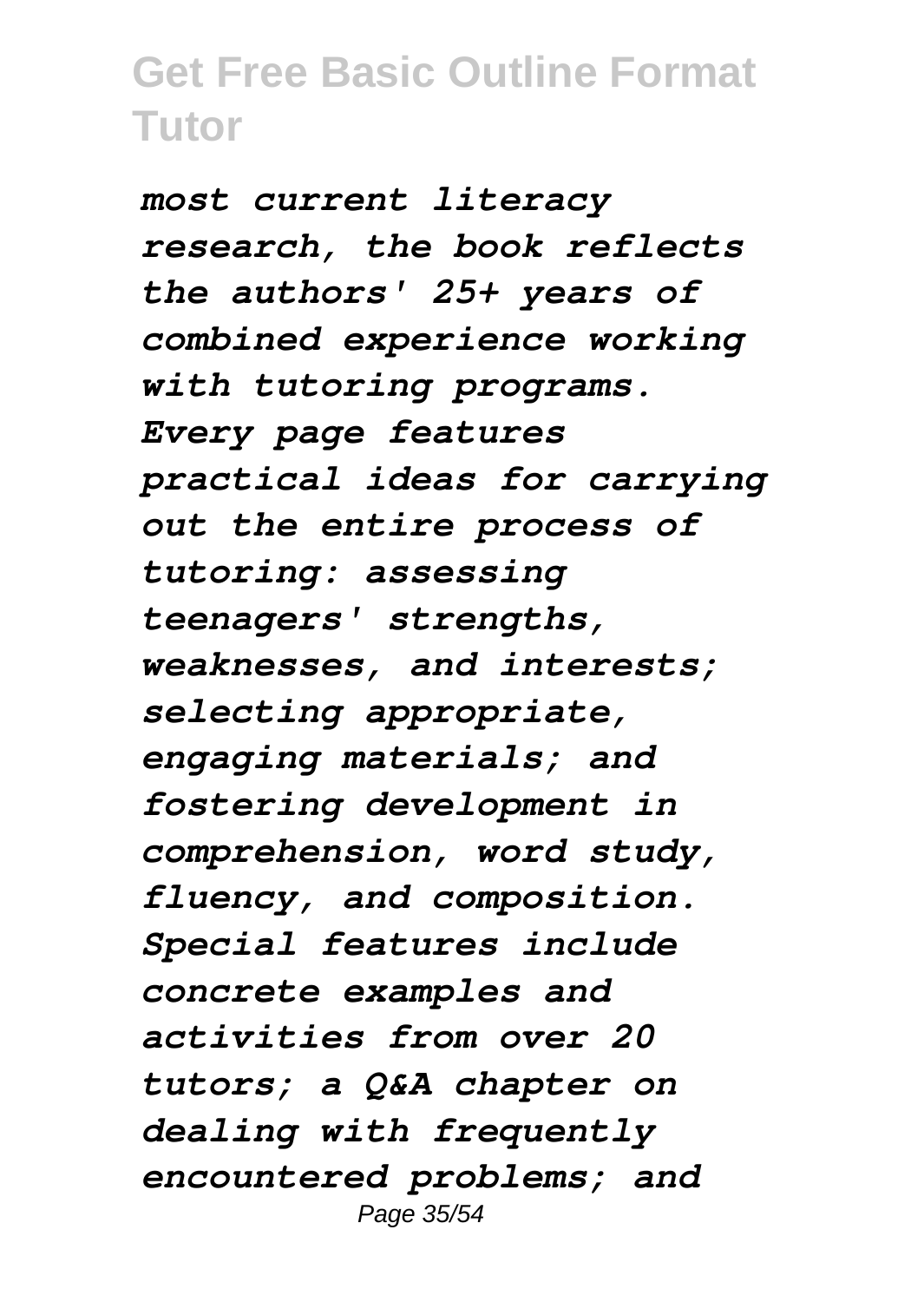*most current literacy research, the book reflects the authors' 25+ years of combined experience working with tutoring programs. Every page features practical ideas for carrying out the entire process of tutoring: assessing teenagers' strengths, weaknesses, and interests; selecting appropriate, engaging materials; and fostering development in comprehension, word study, fluency, and composition. Special features include concrete examples and activities from over 20 tutors; a Q&A chapter on dealing with frequently encountered problems; and* Page 35/54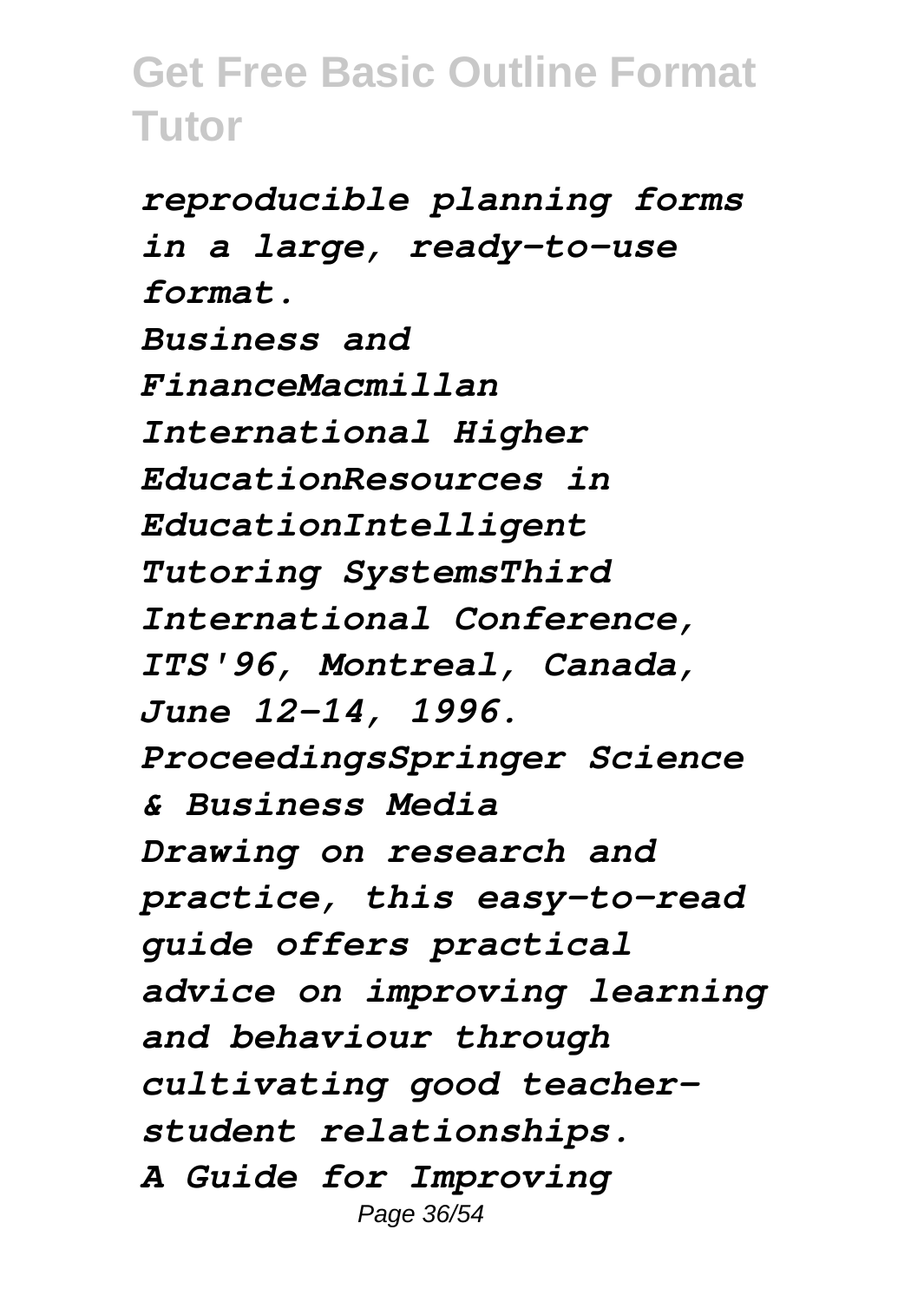*reproducible planning forms in a large, ready-to-use format. Business and FinanceMacmillan International Higher EducationResources in EducationIntelligent Tutoring SystemsThird International Conference, ITS'96, Montreal, Canada, June 12-14, 1996. ProceedingsSpringer Science & Business Media Drawing on research and practice, this easy-to-read guide offers practical advice on improving learning and behaviour through cultivating good teacherstudent relationships. A Guide for Improving* Page 36/54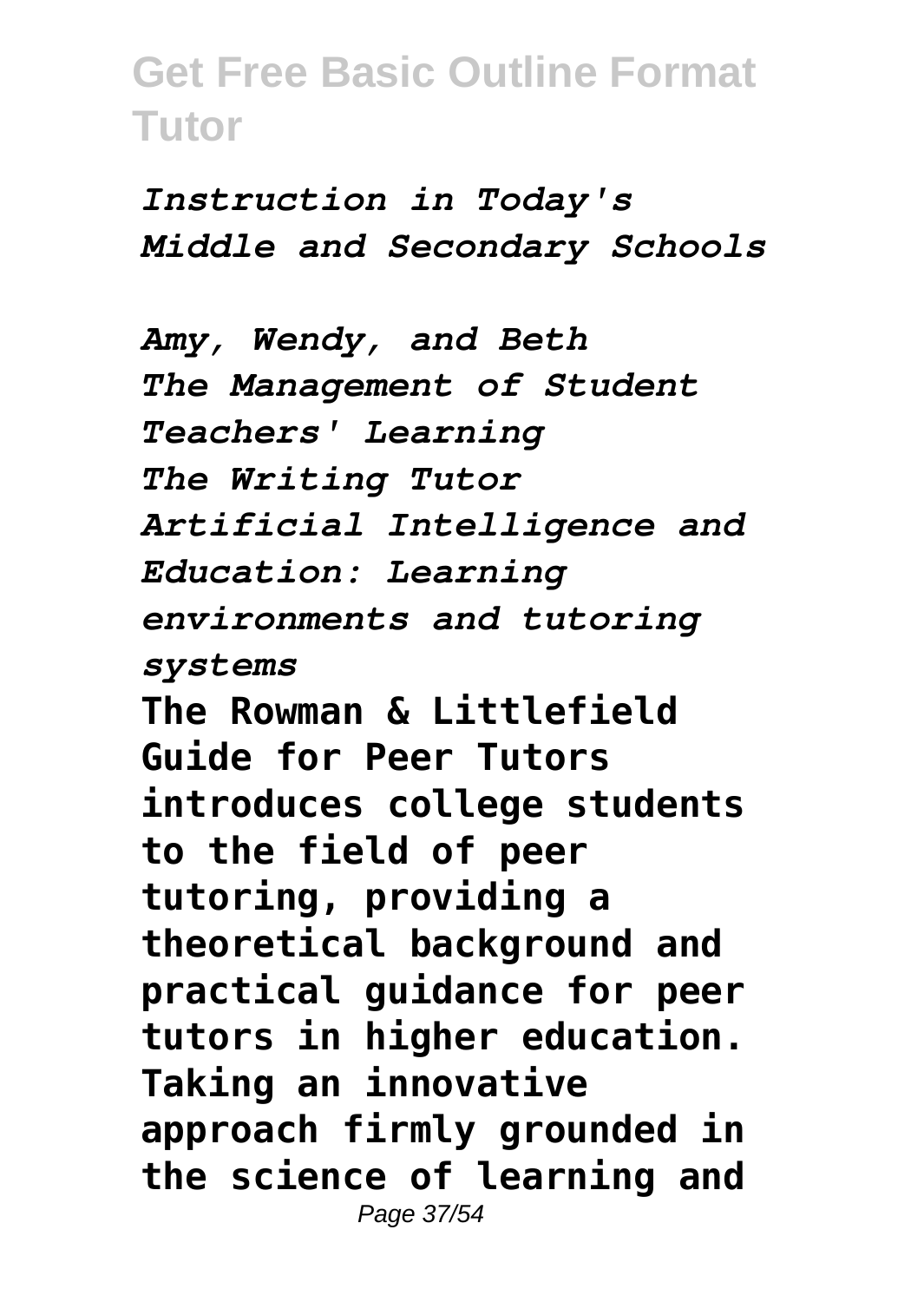*Instruction in Today's Middle and Secondary Schools*

*Amy, Wendy, and Beth The Management of Student Teachers' Learning The Writing Tutor Artificial Intelligence and Education: Learning environments and tutoring systems* **The Rowman & Littlefield Guide for Peer Tutors introduces college students to the field of peer tutoring, providing a theoretical background and practical guidance for peer tutors in higher education. Taking an innovative approach firmly grounded in the science of learning and** Page 37/54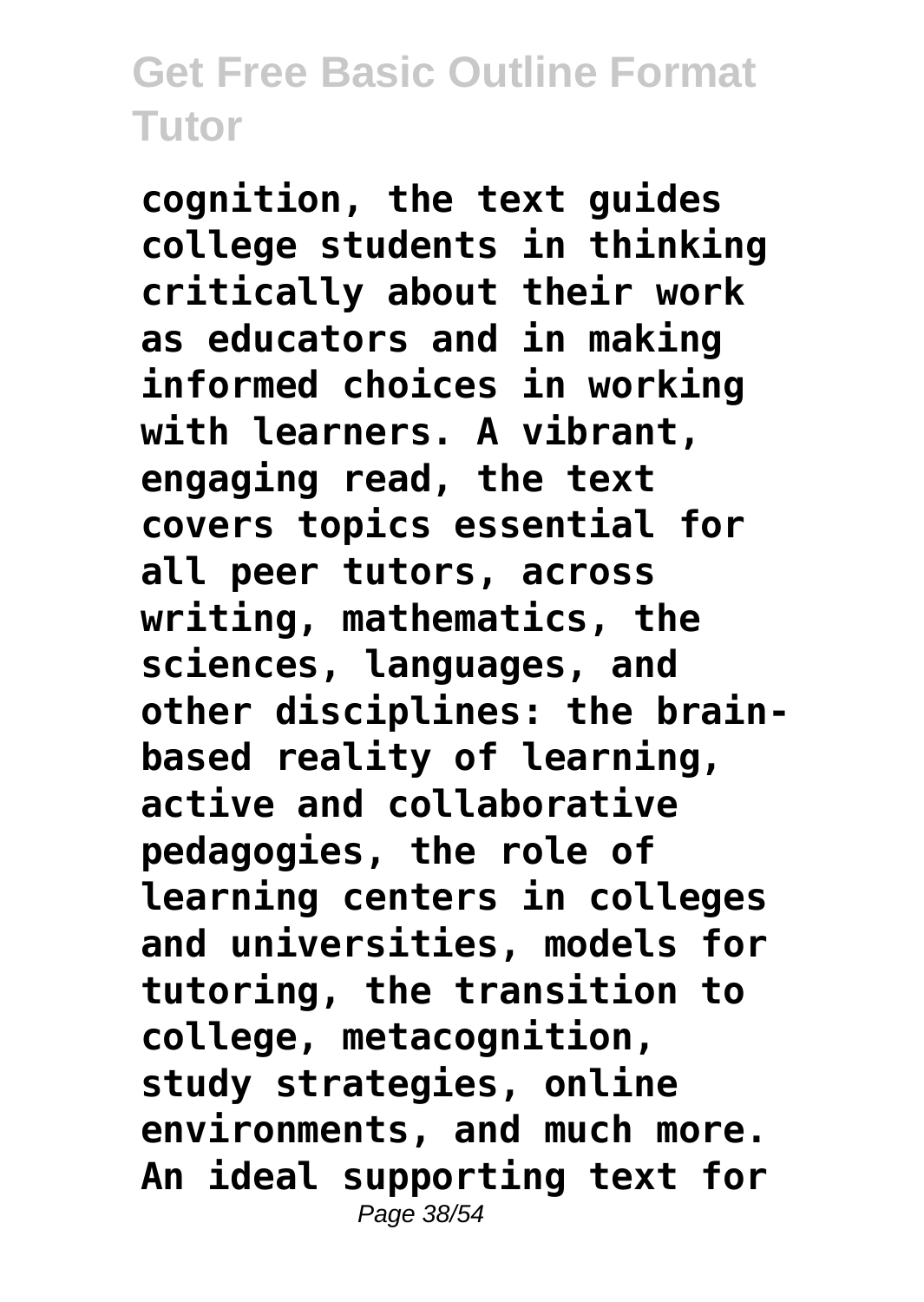**cognition, the text guides college students in thinking critically about their work as educators and in making informed choices in working with learners. A vibrant, engaging read, the text covers topics essential for all peer tutors, across writing, mathematics, the sciences, languages, and other disciplines: the brainbased reality of learning, active and collaborative pedagogies, the role of learning centers in colleges and universities, models for tutoring, the transition to college, metacognition, study strategies, online environments, and much more. An ideal supporting text for** Page 38/54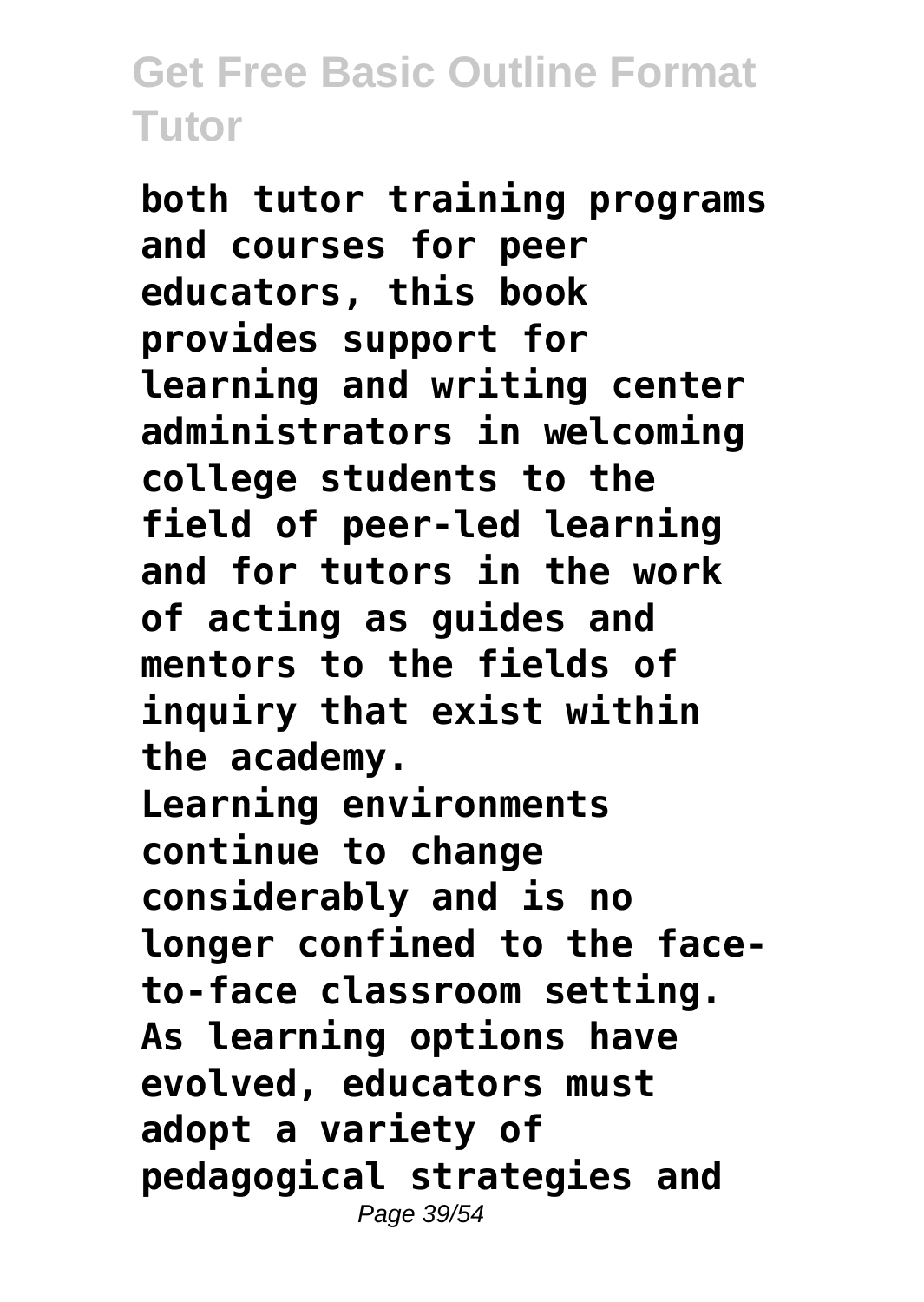**both tutor training programs and courses for peer educators, this book provides support for learning and writing center administrators in welcoming college students to the field of peer-led learning and for tutors in the work of acting as guides and mentors to the fields of inquiry that exist within the academy. Learning environments continue to change considerably and is no longer confined to the faceto-face classroom setting. As learning options have evolved, educators must adopt a variety of pedagogical strategies and** Page 39/54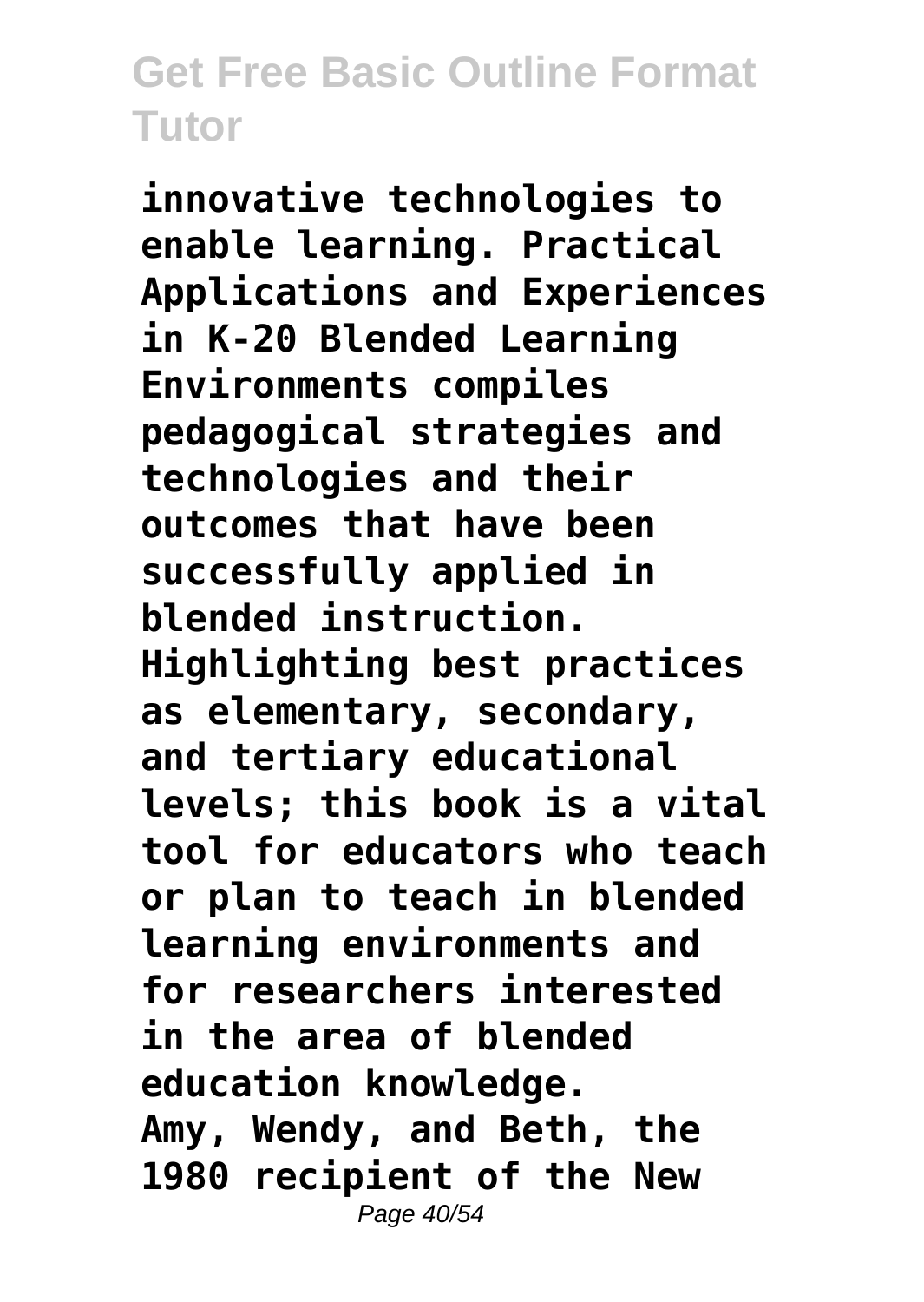**innovative technologies to enable learning. Practical Applications and Experiences in K-20 Blended Learning Environments compiles pedagogical strategies and technologies and their outcomes that have been successfully applied in blended instruction. Highlighting best practices as elementary, secondary, and tertiary educational levels; this book is a vital tool for educators who teach or plan to teach in blended learning environments and for researchers interested in the area of blended education knowledge. Amy, Wendy, and Beth, the 1980 recipient of the New** Page 40/54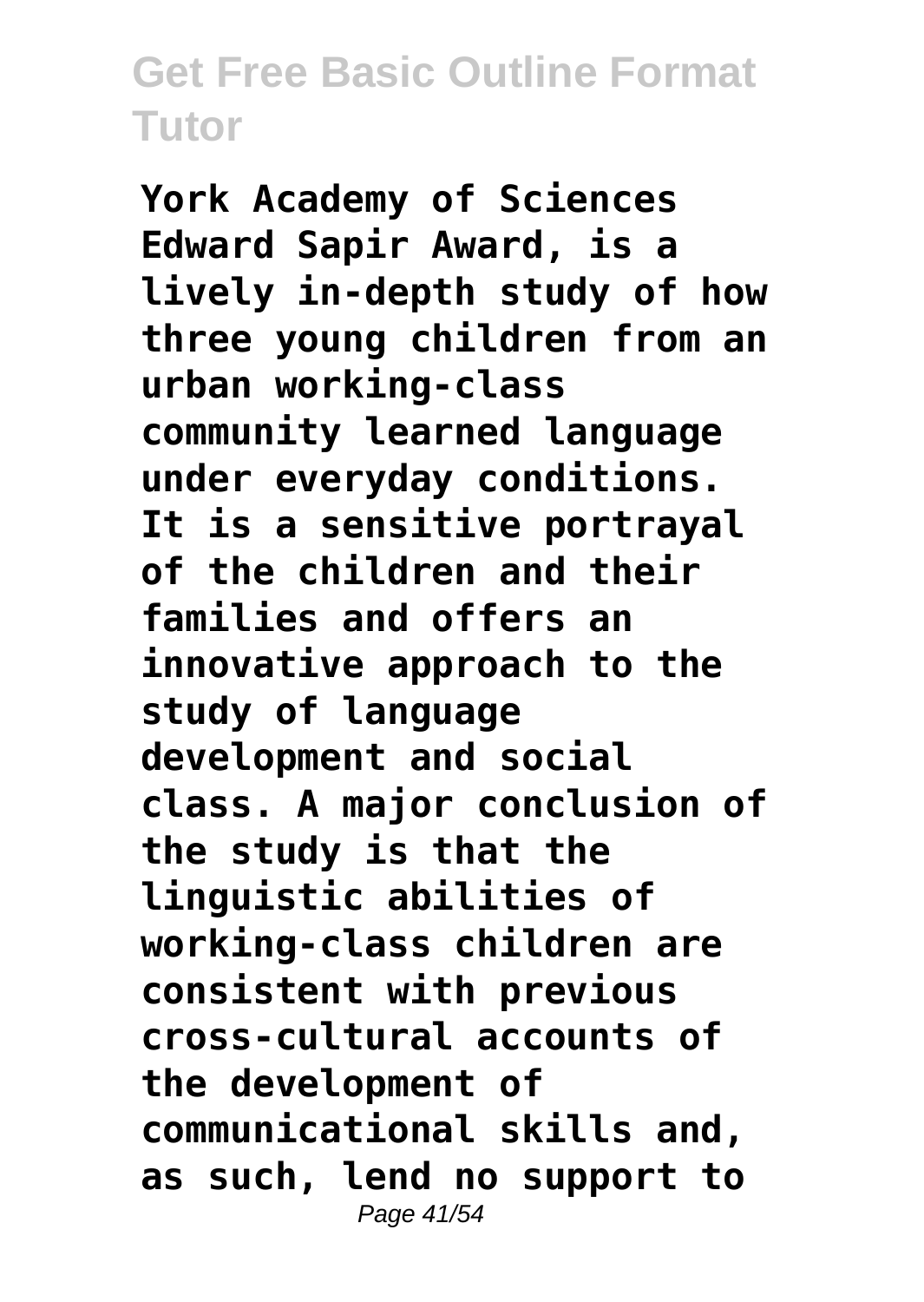**York Academy of Sciences Edward Sapir Award, is a lively in-depth study of how three young children from an urban working-class community learned language under everyday conditions. It is a sensitive portrayal of the children and their families and offers an innovative approach to the study of language development and social class. A major conclusion of the study is that the linguistic abilities of working-class children are consistent with previous cross-cultural accounts of the development of communicational skills and, as such, lend no support to** Page 41/54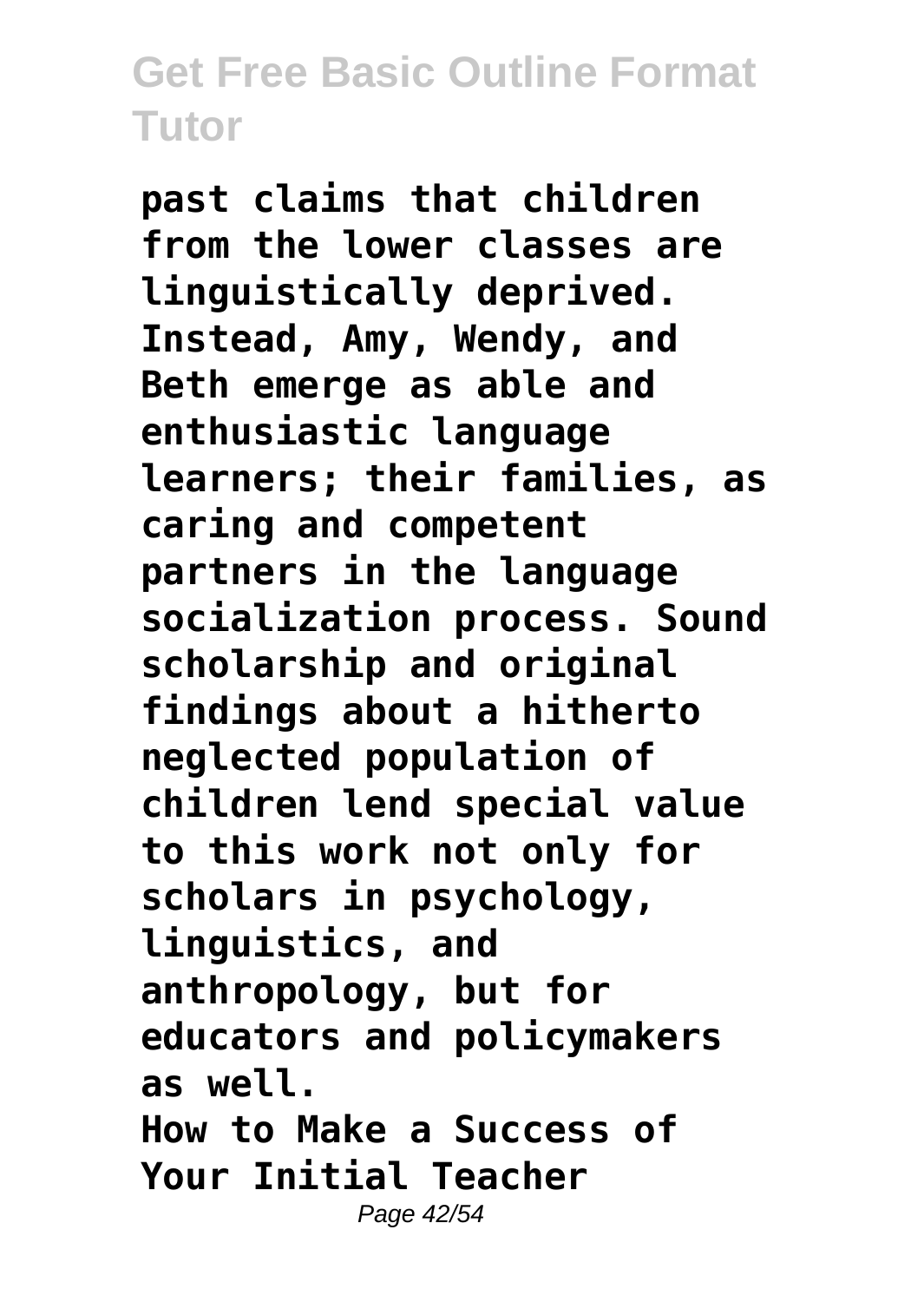**past claims that children from the lower classes are linguistically deprived. Instead, Amy, Wendy, and Beth emerge as able and enthusiastic language learners; their families, as caring and competent partners in the language socialization process. Sound scholarship and original findings about a hitherto neglected population of children lend special value to this work not only for scholars in psychology, linguistics, and anthropology, but for educators and policymakers as well. How to Make a Success of Your Initial Teacher** Page 42/54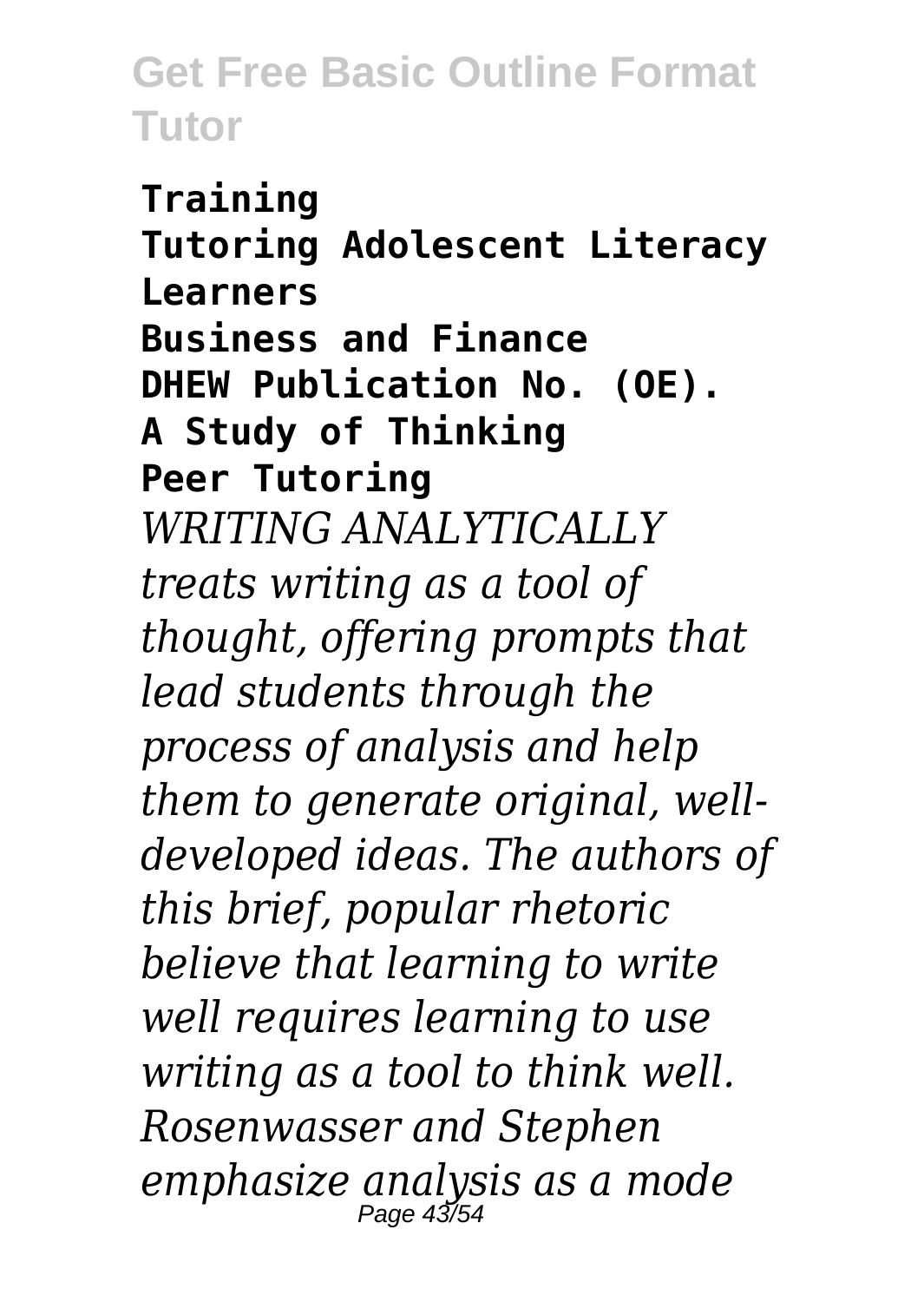**Training Tutoring Adolescent Literacy Learners Business and Finance DHEW Publication No. (OE). A Study of Thinking Peer Tutoring** *WRITING ANALYTICALLY treats writing as a tool of thought, offering prompts that lead students through the process of analysis and help them to generate original, welldeveloped ideas. The authors of this brief, popular rhetoric believe that learning to write well requires learning to use writing as a tool to think well. Rosenwasser and Stephen emphasize analysis as a mode*  $P$ age 43/5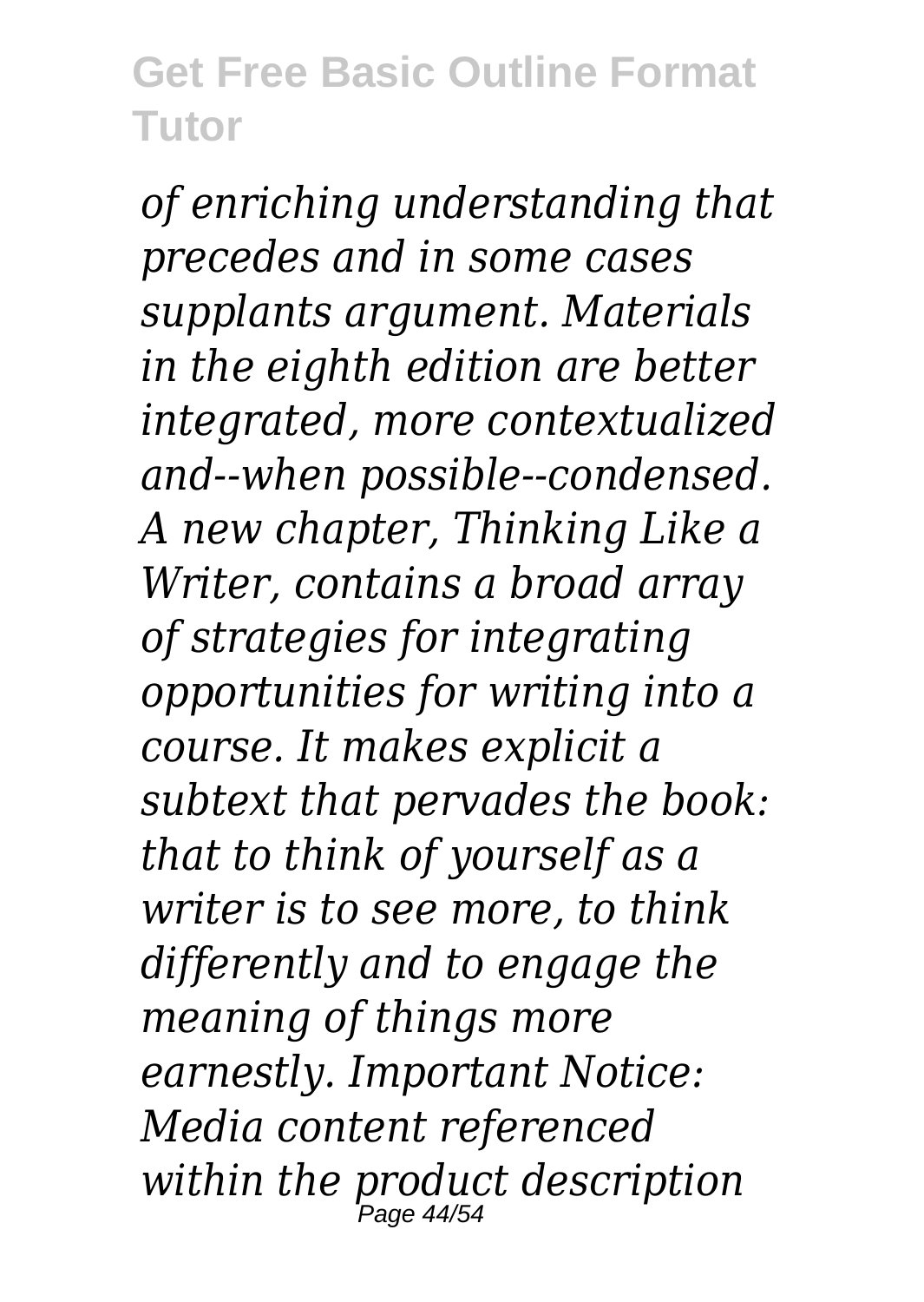*of enriching understanding that precedes and in some cases supplants argument. Materials in the eighth edition are better integrated, more contextualized and--when possible--condensed. A new chapter, Thinking Like a Writer, contains a broad array of strategies for integrating opportunities for writing into a course. It makes explicit a subtext that pervades the book: that to think of yourself as a writer is to see more, to think differently and to engage the meaning of things more earnestly. Important Notice: Media content referenced within the product description* Page 44/54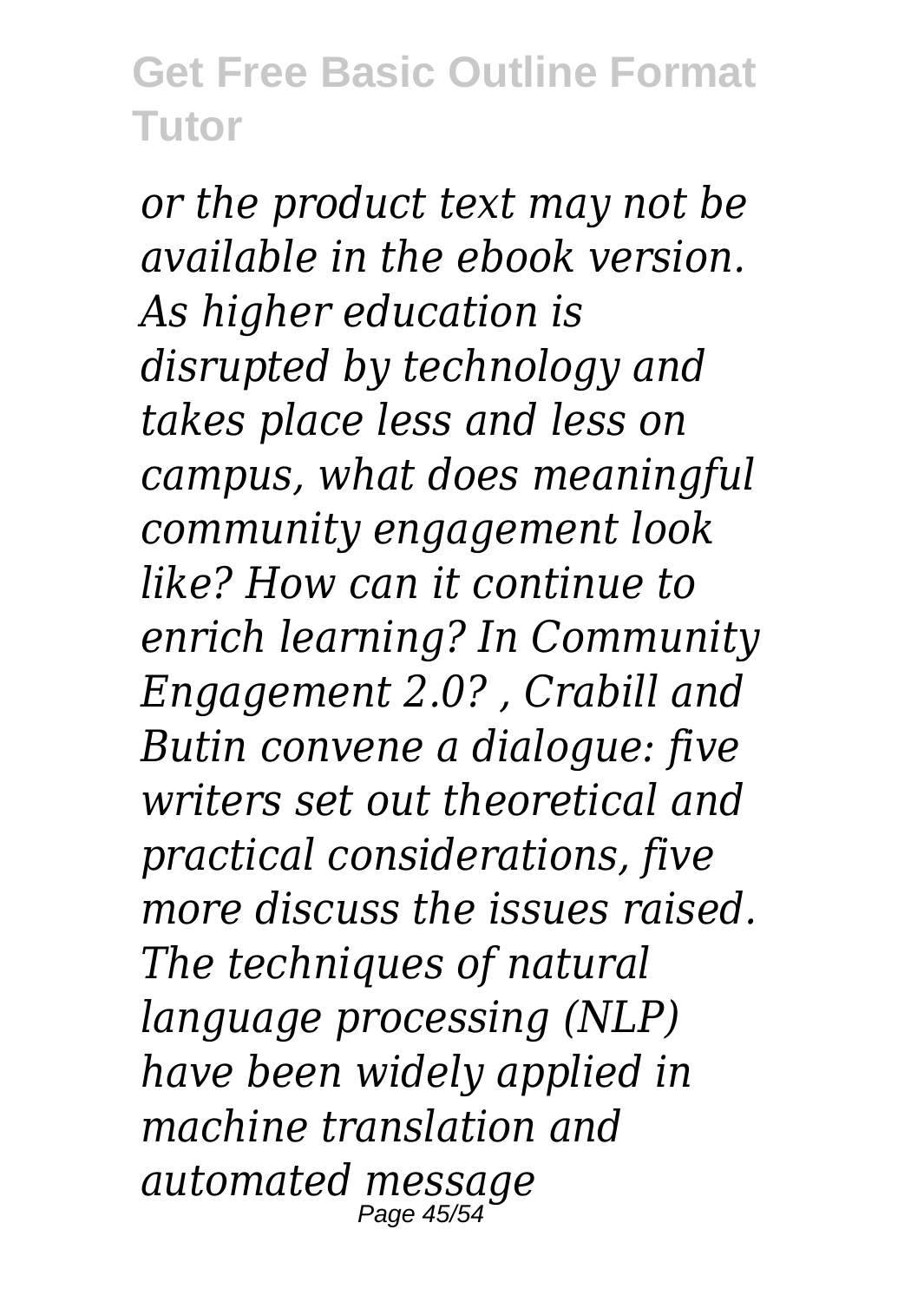*or the product text may not be available in the ebook version. As higher education is disrupted by technology and takes place less and less on campus, what does meaningful community engagement look like? How can it continue to enrich learning? In Community Engagement 2.0? , Crabill and Butin convene a dialogue: five writers set out theoretical and practical considerations, five more discuss the issues raised. The techniques of natural language processing (NLP) have been widely applied in machine translation and automated message* Page 45/54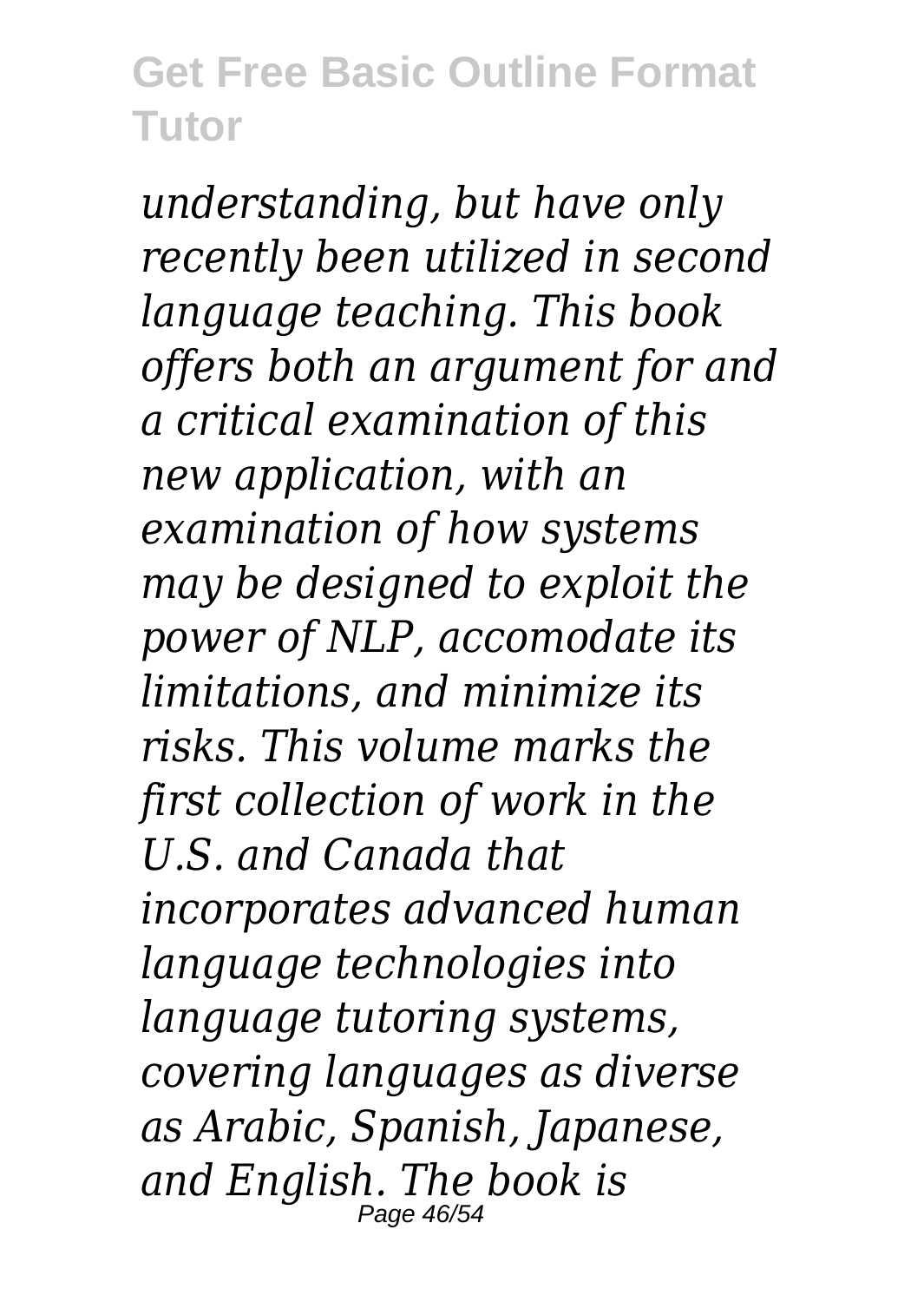*understanding, but have only recently been utilized in second language teaching. This book offers both an argument for and a critical examination of this new application, with an examination of how systems may be designed to exploit the power of NLP, accomodate its limitations, and minimize its risks. This volume marks the first collection of work in the U.S. and Canada that incorporates advanced human language technologies into language tutoring systems, covering languages as diverse as Arabic, Spanish, Japanese, and English. The book is* Page 46/54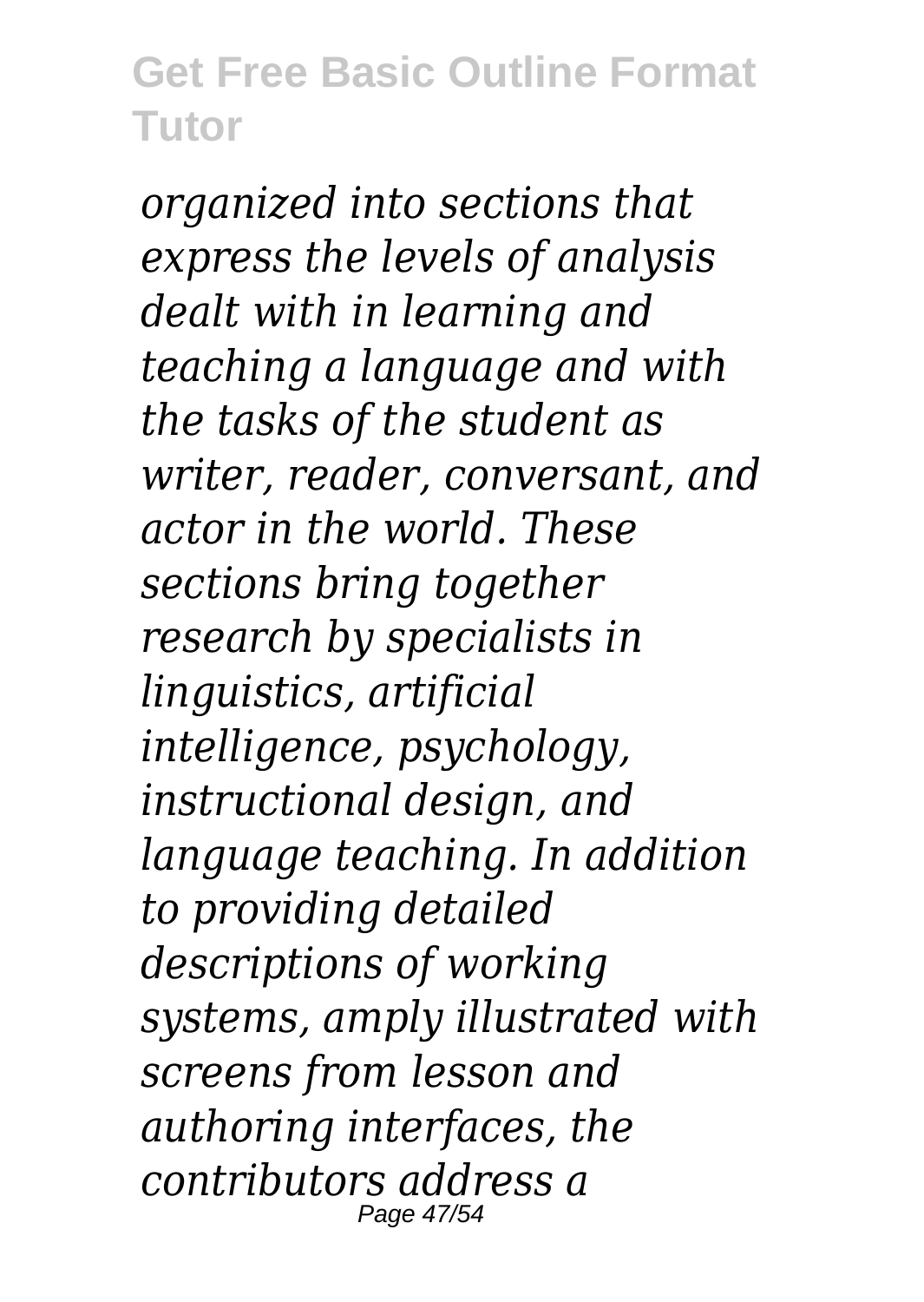*organized into sections that express the levels of analysis dealt with in learning and teaching a language and with the tasks of the student as writer, reader, conversant, and actor in the world. These sections bring together research by specialists in linguistics, artificial intelligence, psychology, instructional design, and language teaching. In addition to providing detailed descriptions of working systems, amply illustrated with screens from lesson and authoring interfaces, the contributors address a* Page 47/54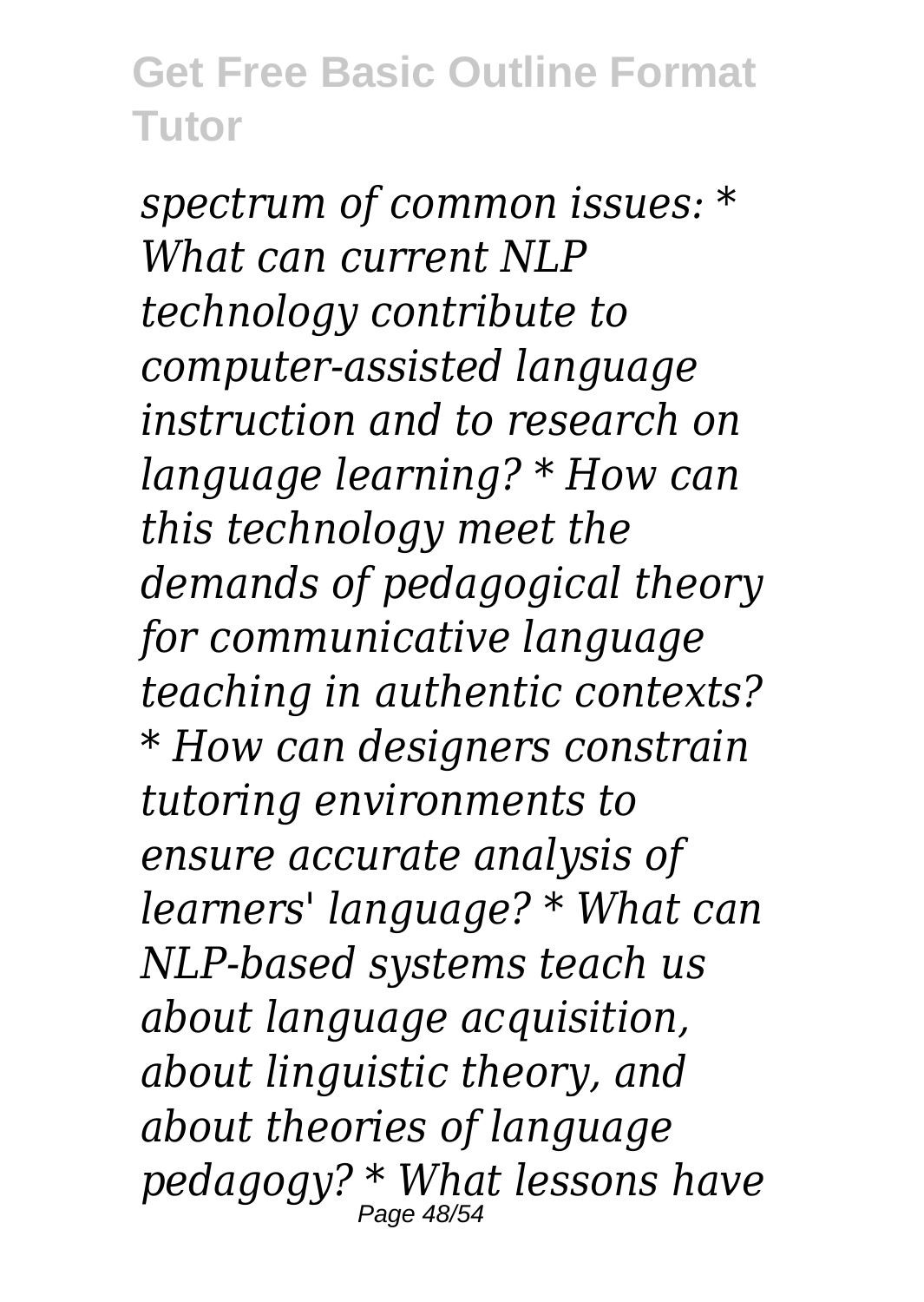*spectrum of common issues: \* What can current NLP technology contribute to computer-assisted language instruction and to research on language learning? \* How can this technology meet the demands of pedagogical theory for communicative language teaching in authentic contexts? \* How can designers constrain tutoring environments to ensure accurate analysis of learners' language? \* What can NLP-based systems teach us about language acquisition, about linguistic theory, and about theories of language pedagogy? \* What lessons have* Page 48/54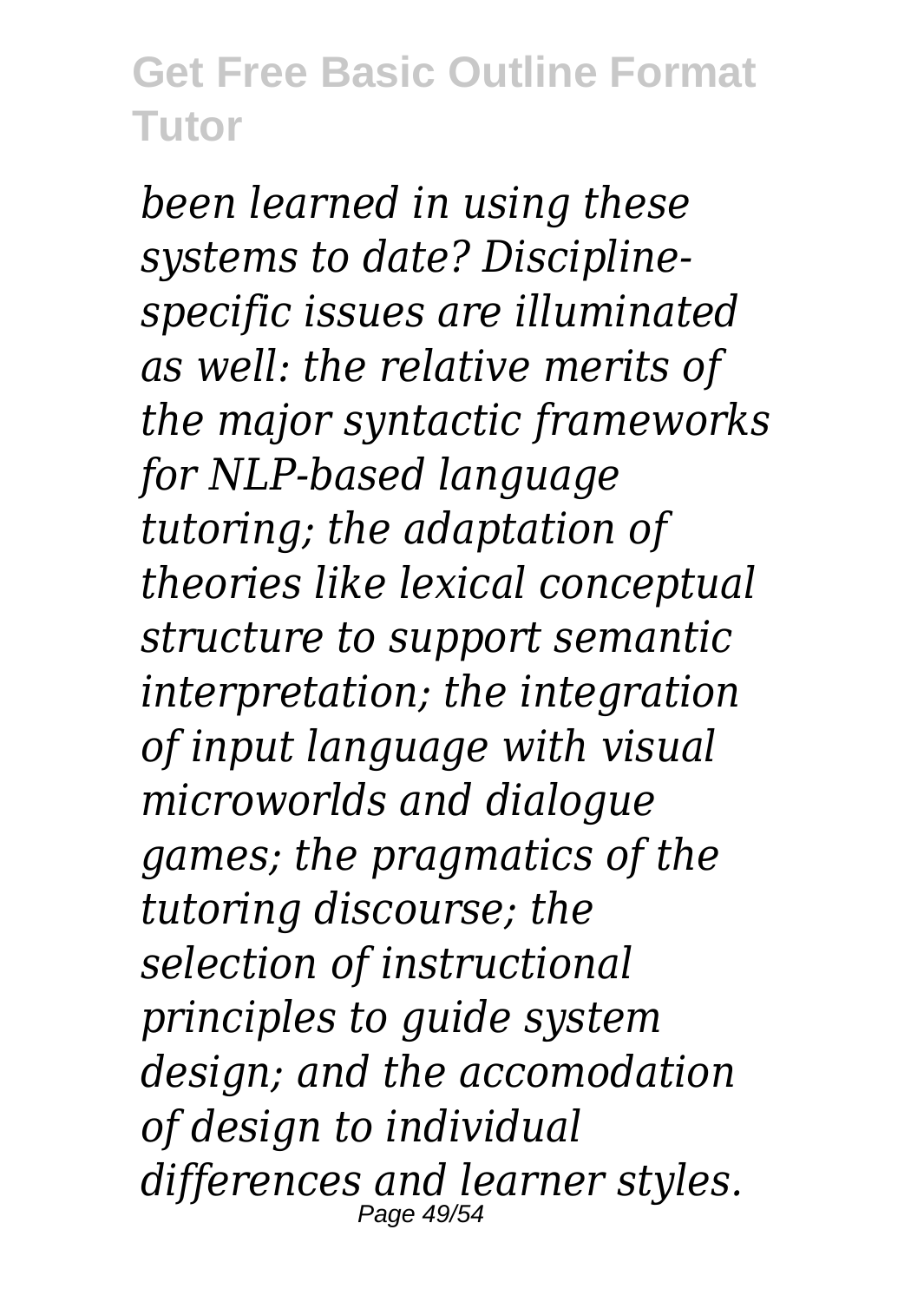*been learned in using these systems to date? Disciplinespecific issues are illuminated as well: the relative merits of the major syntactic frameworks for NLP-based language tutoring; the adaptation of theories like lexical conceptual structure to support semantic interpretation; the integration of input language with visual microworlds and dialogue games; the pragmatics of the tutoring discourse; the selection of instructional principles to guide system design; and the accomodation of design to individual differences and learner styles.* Page 49/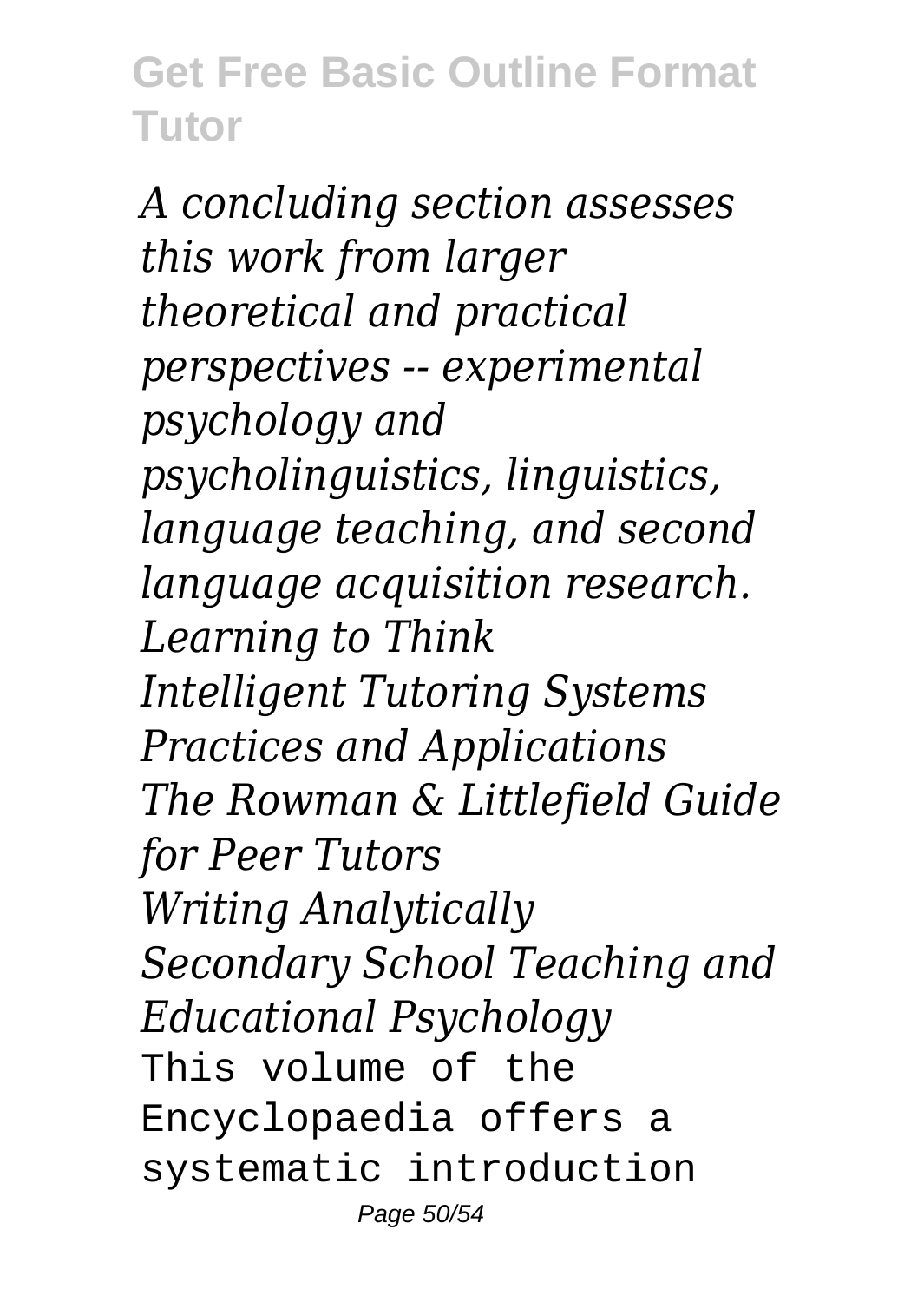*A concluding section assesses this work from larger theoretical and practical perspectives -- experimental psychology and psycholinguistics, linguistics, language teaching, and second language acquisition research. Learning to Think Intelligent Tutoring Systems Practices and Applications The Rowman & Littlefield Guide for Peer Tutors Writing Analytically Secondary School Teaching and Educational Psychology* This volume of the Encyclopaedia offers a systematic introduction Page 50/54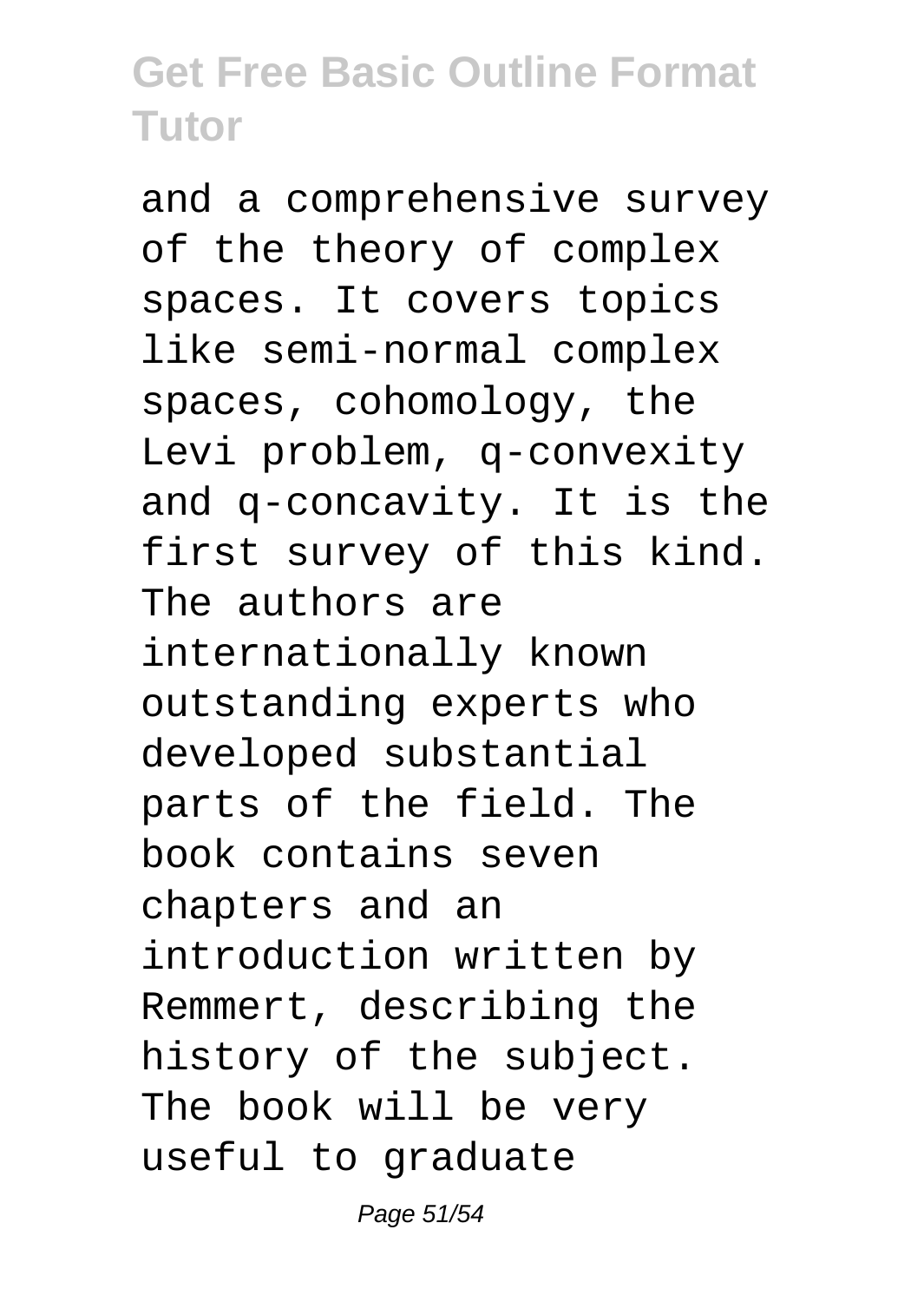and a comprehensive survey of the theory of complex spaces. It covers topics like semi-normal complex spaces, cohomology, the Levi problem, q-convexity and q-concavity. It is the first survey of this kind. The authors are internationally known outstanding experts who developed substantial parts of the field. The book contains seven chapters and an introduction written by Remmert, describing the history of the subject. The book will be very useful to graduate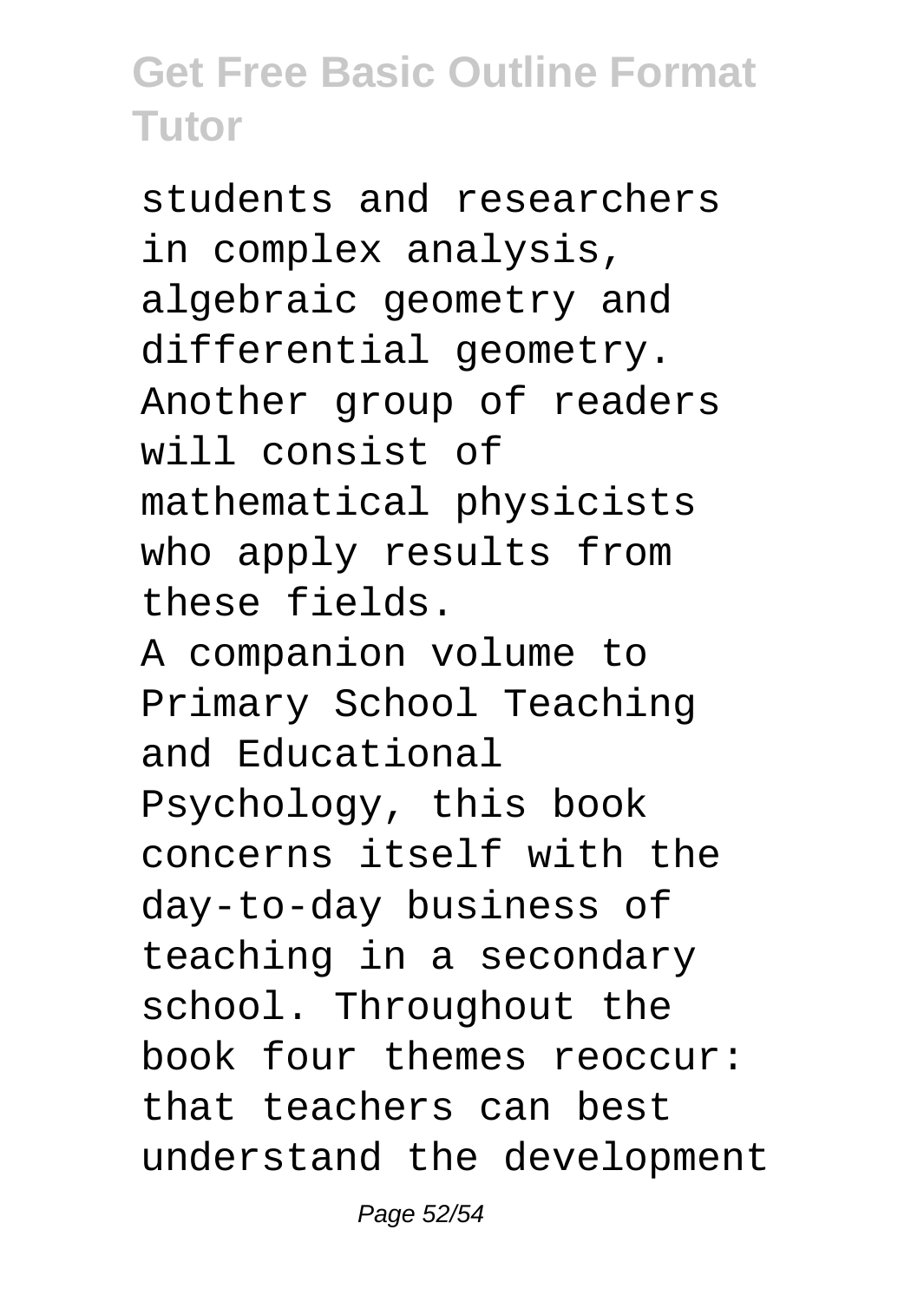students and researchers in complex analysis, algebraic geometry and differential geometry. Another group of readers will consist of mathematical physicists who apply results from these fields.

A companion volume to Primary School Teaching and Educational Psychology, this book concerns itself with the day-to-day business of teaching in a secondary school. Throughout the book four themes reoccur: that teachers can best understand the development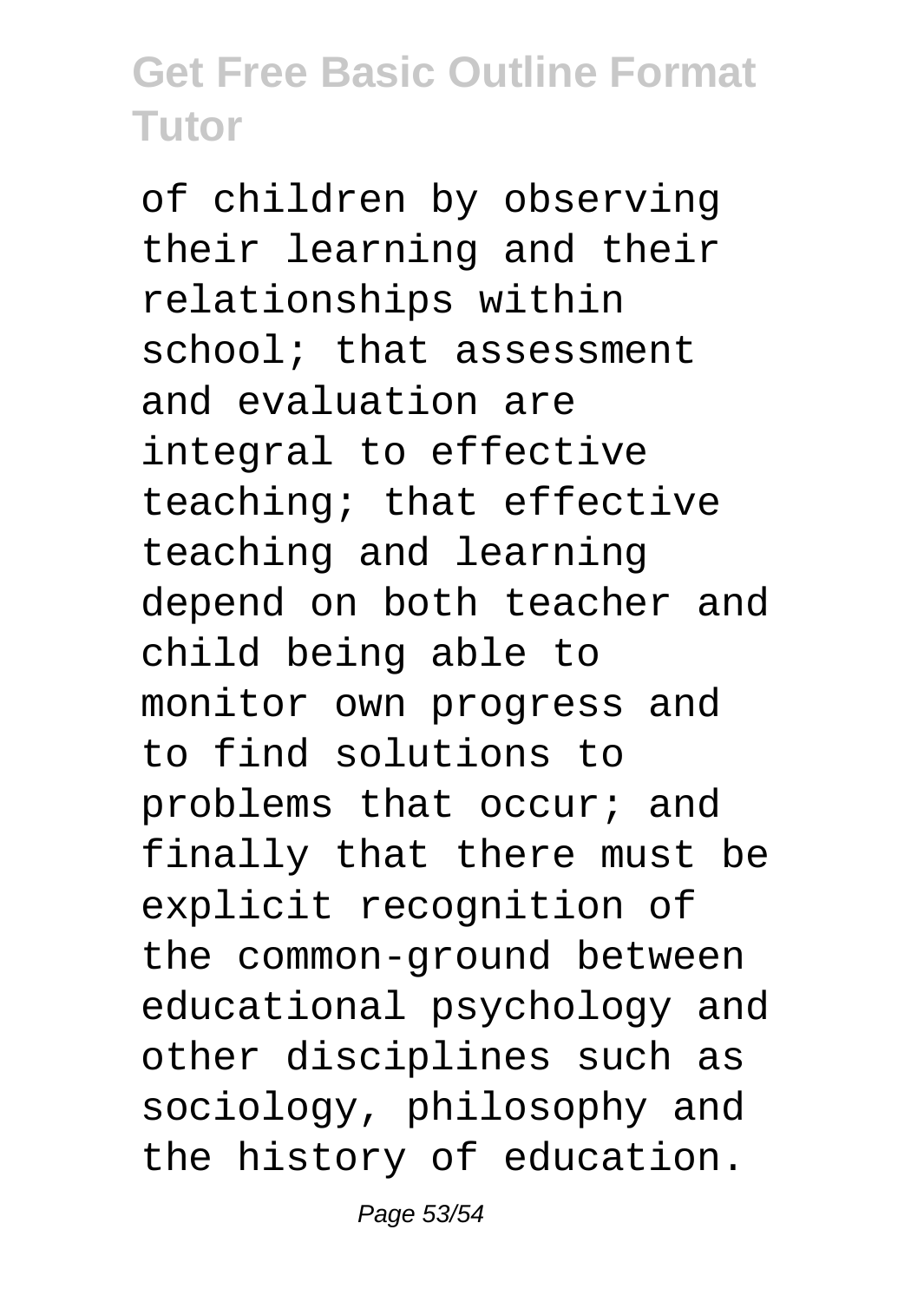of children by observing their learning and their relationships within school; that assessment and evaluation are integral to effective teaching; that effective teaching and learning depend on both teacher and child being able to monitor own progress and to find solutions to problems that occur; and finally that there must be explicit recognition of the common-ground between educational psychology and other disciplines such as sociology, philosophy and the history of education.